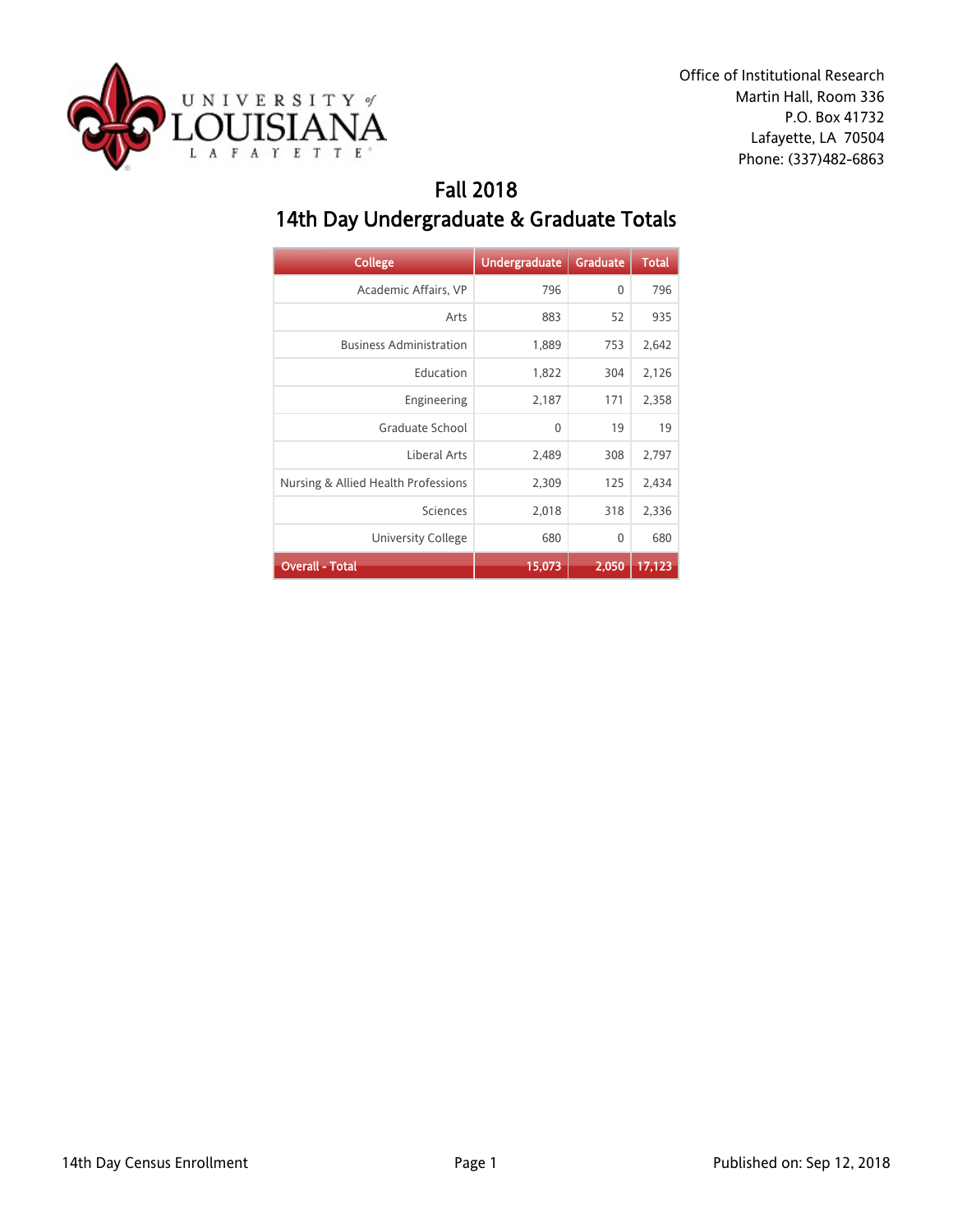

Office of Institutional Research Martin Hall, Room 336 P.O. Box 41732 Lafayette, LA 70504 Phone: (337)482-6863

## Fall 2018 14th Day Undergraduate & Graduate Totals

| <b>College</b>                      | <b>Undergraduate</b> | <b>Graduate</b> | <b>Total</b> |
|-------------------------------------|----------------------|-----------------|--------------|
| Academic Affairs, VP                | 796                  | 0               | 796          |
| Arts                                | 883                  | 52              | 935          |
| <b>Business Administration</b>      | 1,889                | 753             | 2,642        |
| Education                           | 1,822                | 304             | 2,126        |
| Engineering                         | 2,187                | 171             | 2,358        |
| Graduate School                     | $\mathbf{0}$         | 19              | 19           |
| Liberal Arts                        | 2,489                | 308             | 2,797        |
| Nursing & Allied Health Professions | 2,309                | 125             | 2,434        |
| Sciences                            | 2,018                | 318             | 2,336        |
| <b>University College</b>           | 680                  | 0               | 680          |
| <b>Overall - Total</b>              | 15,073               | 2,050           | 17,123       |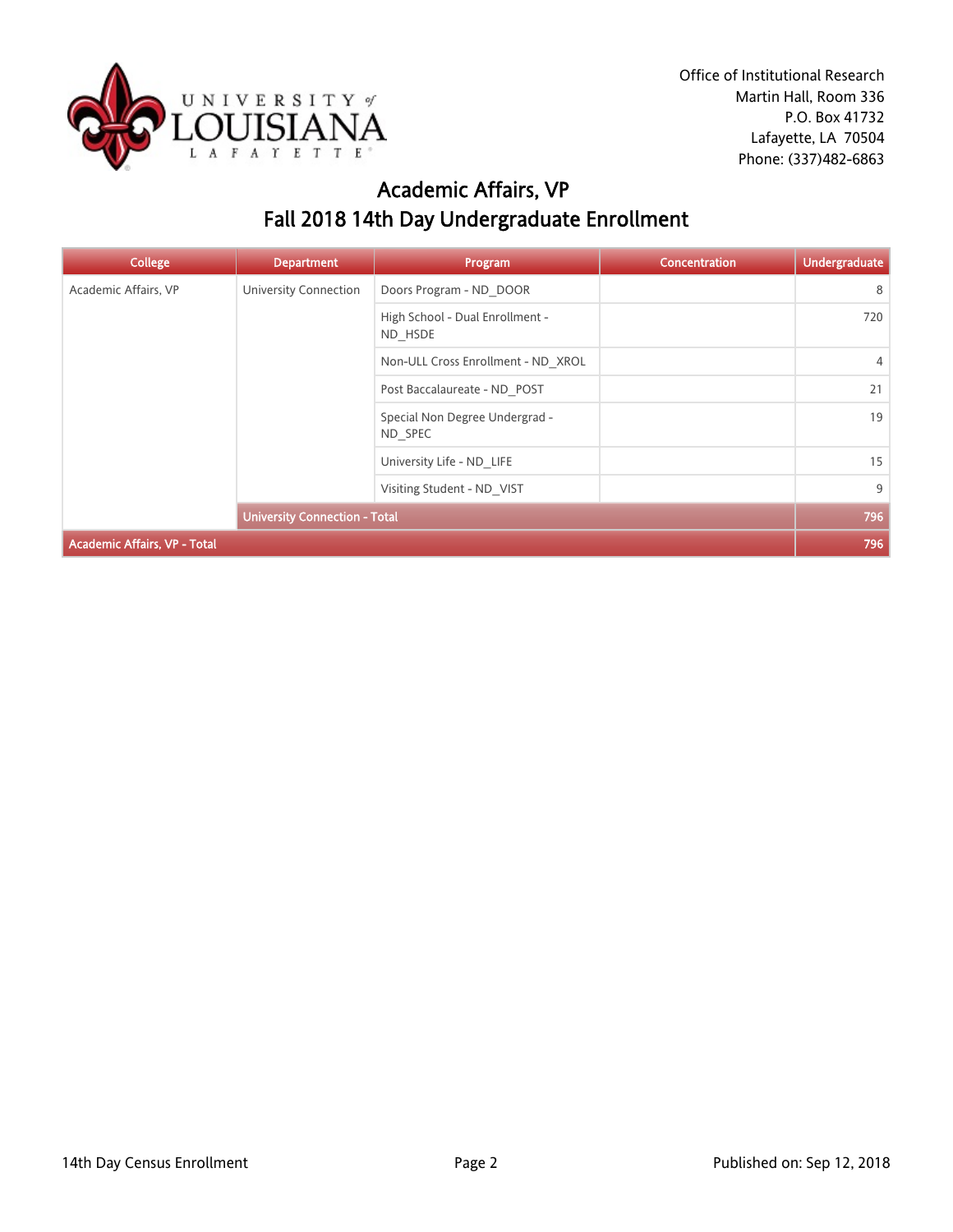

### Academic Affairs, VP Fall 2018 14th Day Undergraduate Enrollment

| <b>College</b>                      | <b>Department</b>                    | Program                                    | <b>Concentration</b> | <b>Undergraduate</b> |
|-------------------------------------|--------------------------------------|--------------------------------------------|----------------------|----------------------|
| Academic Affairs, VP                | <b>University Connection</b>         | Doors Program - ND DOOR                    |                      | 8                    |
|                                     |                                      | High School - Dual Enrollment -<br>ND HSDE |                      | 720                  |
|                                     |                                      | Non-ULL Cross Enrollment - ND XROL         |                      | $\overline{4}$       |
|                                     |                                      | Post Baccalaureate - ND POST               |                      | 21                   |
|                                     |                                      | Special Non Degree Undergrad -<br>ND SPEC  |                      | 19                   |
|                                     |                                      | University Life - ND LIFE                  |                      | 15                   |
|                                     |                                      | Visiting Student - ND VIST                 |                      | 9                    |
|                                     | <b>University Connection - Total</b> |                                            |                      | 796                  |
| <b>Academic Affairs, VP - Total</b> |                                      |                                            |                      | 796                  |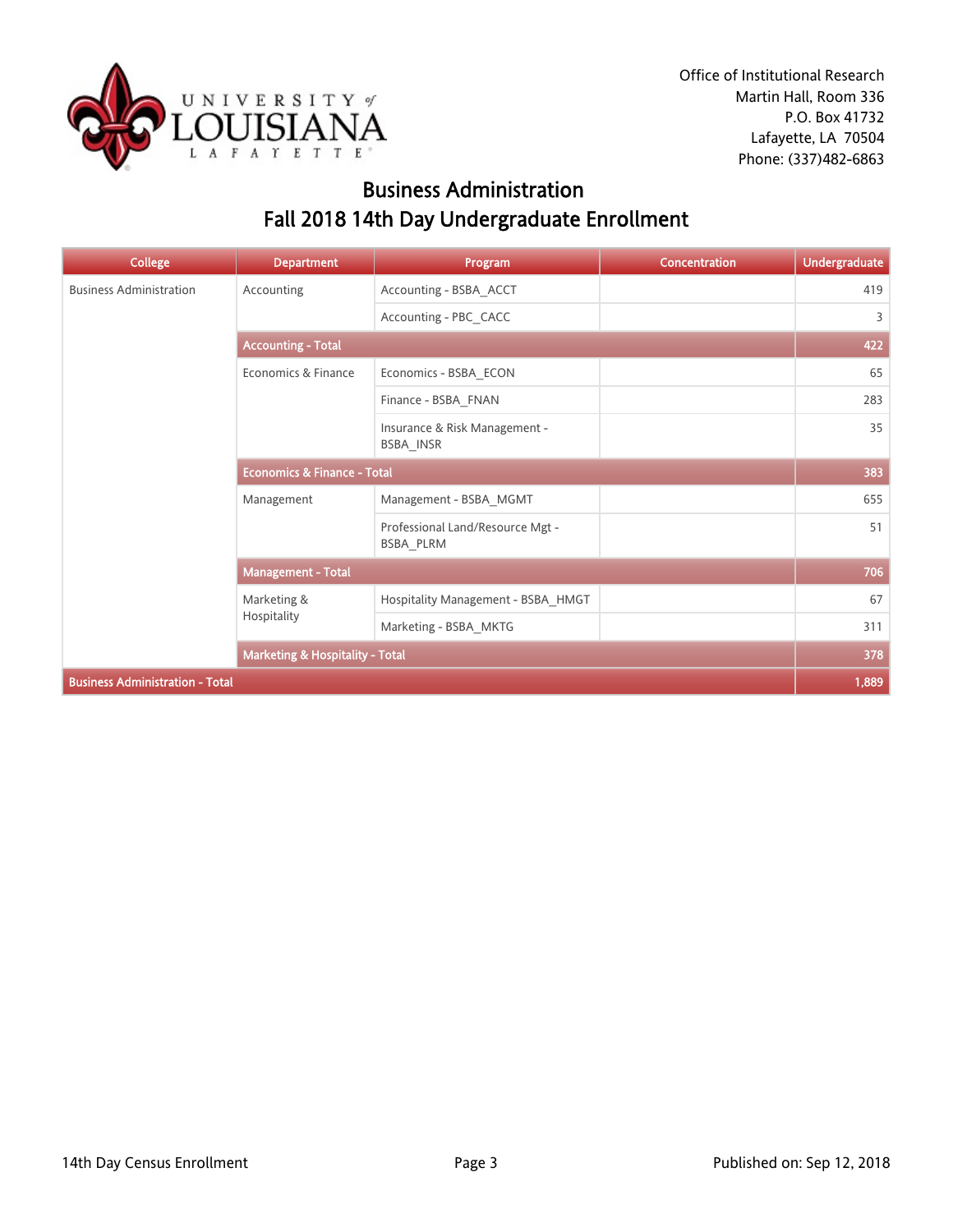

### Business Administration Fall 2018 14th Day Undergraduate Enrollment

| <b>College</b>                         | <b>Department</b>                          | Program                                       | Concentration | <b>Undergraduate</b> |
|----------------------------------------|--------------------------------------------|-----------------------------------------------|---------------|----------------------|
| <b>Business Administration</b>         | Accounting                                 | Accounting - BSBA_ACCT                        |               | 419                  |
|                                        |                                            | Accounting - PBC_CACC                         |               | 3                    |
|                                        | <b>Accounting - Total</b>                  |                                               |               |                      |
|                                        | Economics & Finance                        | Economics - BSBA_ECON                         |               | 65                   |
|                                        |                                            | Finance - BSBA_FNAN                           |               | 283                  |
|                                        |                                            | Insurance & Risk Management -<br>BSBA_INSR    |               | 35                   |
|                                        | <b>Economics &amp; Finance - Total</b>     |                                               |               | 383                  |
|                                        | Management                                 | Management - BSBA_MGMT                        |               | 655                  |
|                                        |                                            | Professional Land/Resource Mgt -<br>BSBA PLRM |               | 51                   |
|                                        | Management - Total                         |                                               |               | 706                  |
|                                        | Marketing &                                | Hospitality Management - BSBA_HMGT            |               | 67                   |
|                                        | Hospitality                                | Marketing - BSBA MKTG                         |               | 311                  |
|                                        | <b>Marketing &amp; Hospitality - Total</b> |                                               |               | 378                  |
| <b>Business Administration - Total</b> |                                            |                                               |               | 1,889                |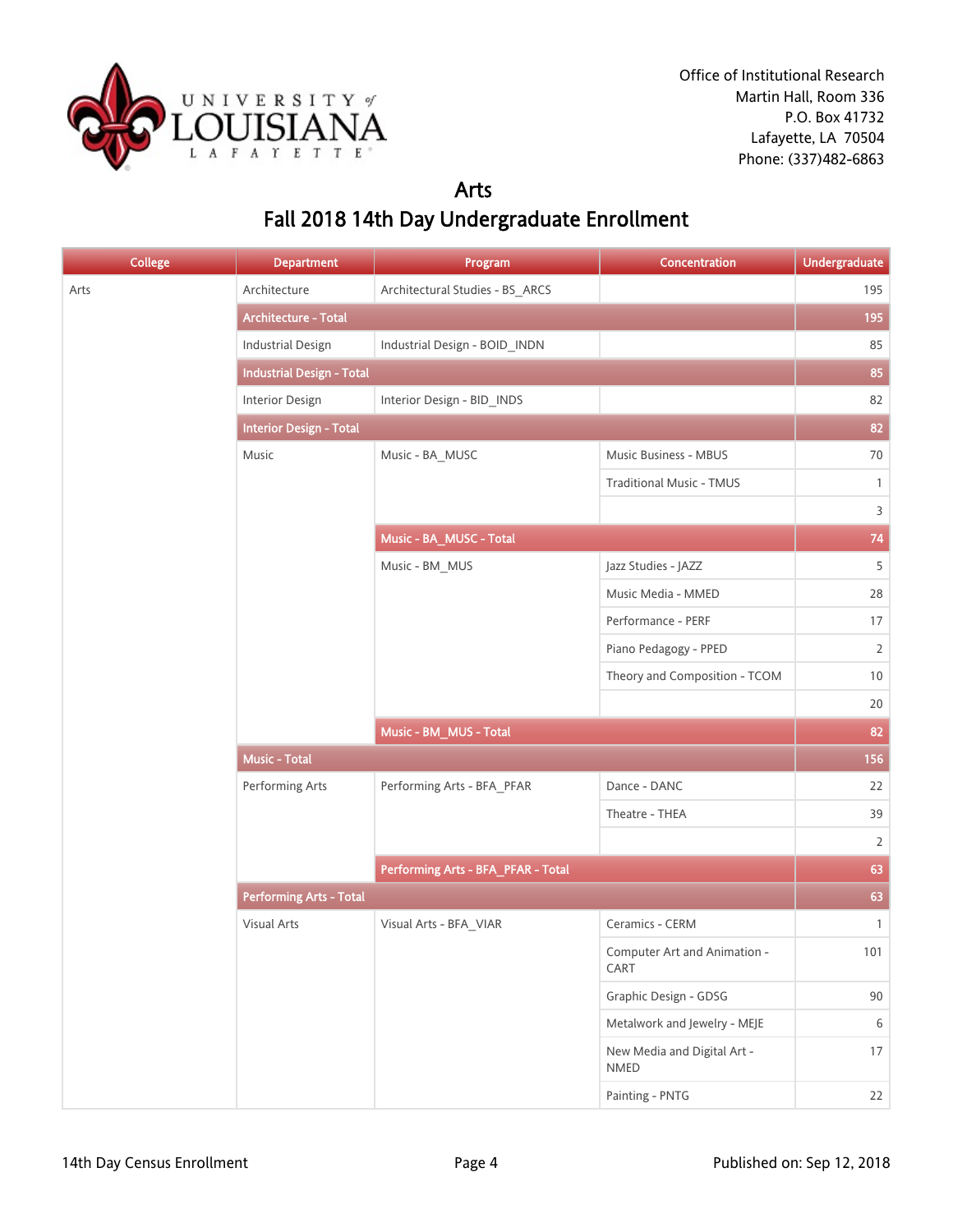

#### Arts Fall 2018 14th Day Undergraduate Enrollment

| <b>College</b> | <b>Department</b>                | Program                            | Concentration                        | <b>Undergraduate</b> |
|----------------|----------------------------------|------------------------------------|--------------------------------------|----------------------|
| Arts           | Architecture                     | Architectural Studies - BS_ARCS    |                                      | 195                  |
|                | Architecture - Total             |                                    |                                      | 195                  |
|                | <b>Industrial Design</b>         | Industrial Design - BOID_INDN      |                                      | 85                   |
|                | <b>Industrial Design - Total</b> |                                    |                                      | 85                   |
|                | Interior Design                  | Interior Design - BID_INDS         |                                      | 82                   |
|                | <b>Interior Design - Total</b>   |                                    |                                      | 82                   |
|                | Music                            | Music - BA_MUSC                    | Music Business - MBUS                | 70                   |
|                |                                  |                                    | <b>Traditional Music - TMUS</b>      | $\mathbf{1}$         |
|                |                                  |                                    |                                      | $\overline{3}$       |
|                |                                  | Music - BA_MUSC - Total            |                                      | 74                   |
|                |                                  | Music - BM_MUS                     | Jazz Studies - JAZZ                  | 5                    |
|                |                                  |                                    | Music Media - MMED                   | 28                   |
|                |                                  |                                    | Performance - PERF                   | 17                   |
|                |                                  |                                    | Piano Pedagogy - PPED                | $\overline{2}$       |
|                |                                  |                                    | Theory and Composition - TCOM        | 10                   |
|                |                                  |                                    |                                      | 20                   |
|                |                                  | Music - BM_MUS - Total             |                                      | 82                   |
|                | <b>Music - Total</b>             |                                    |                                      | 156                  |
|                | Performing Arts                  | Performing Arts - BFA_PFAR         | Dance - DANC                         | 22                   |
|                |                                  |                                    | Theatre - THEA                       | 39                   |
|                |                                  |                                    |                                      | $\overline{2}$       |
|                |                                  | Performing Arts - BFA_PFAR - Total |                                      | 63                   |
|                | <b>Performing Arts - Total</b>   |                                    |                                      | 63                   |
|                | <b>Visual Arts</b>               | Visual Arts - BFA_VIAR             | Ceramics - CERM                      | $\mathbf{1}$         |
|                |                                  |                                    | Computer Art and Animation -<br>CART | 101                  |
|                |                                  |                                    | Graphic Design - GDSG                | 90                   |
|                |                                  |                                    | Metalwork and Jewelry - MEJE         | $\,$ 6 $\,$          |
|                |                                  |                                    | New Media and Digital Art -<br>NMED  | 17                   |
|                |                                  |                                    | Painting - PNTG                      | 22                   |
|                |                                  |                                    |                                      |                      |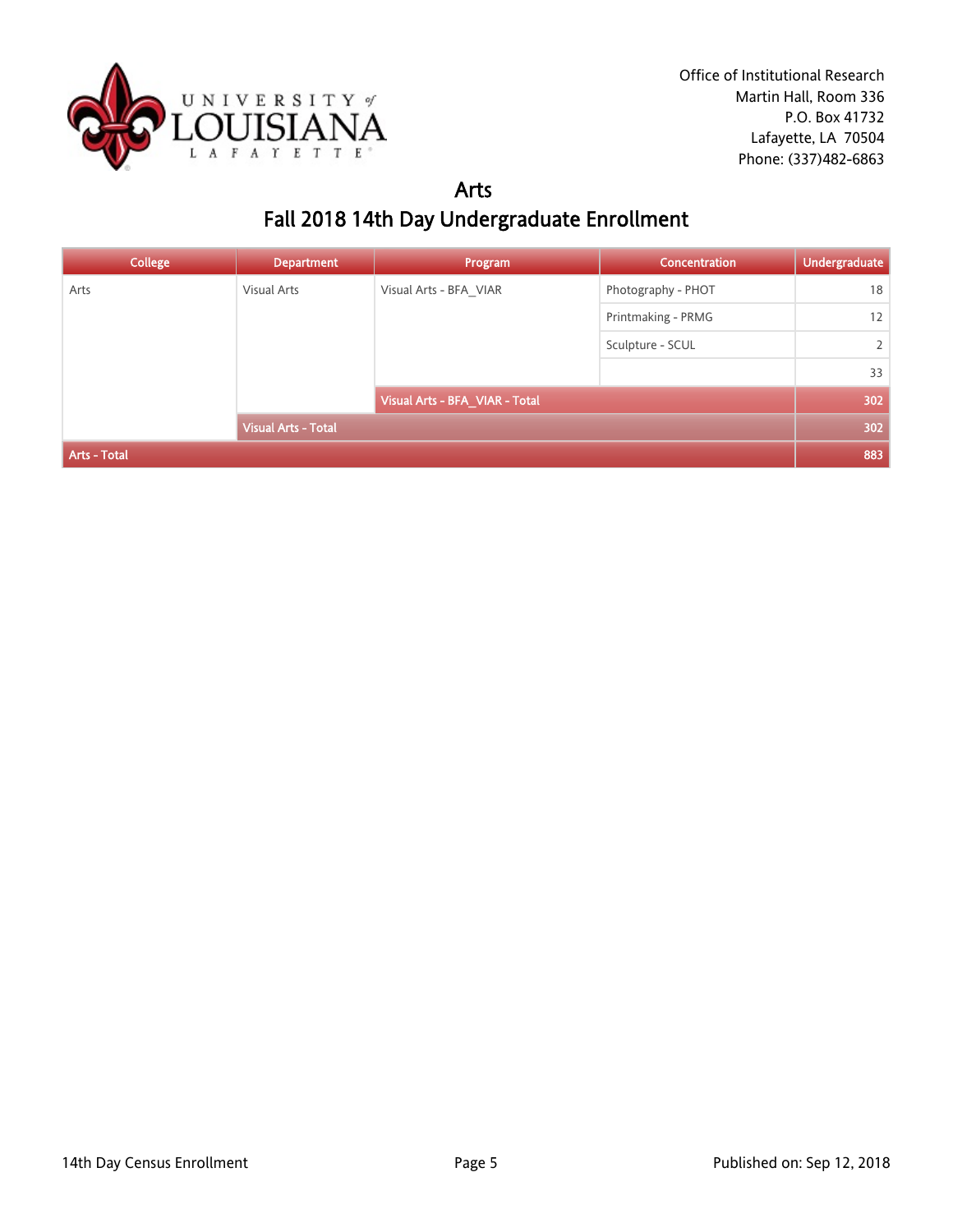

#### Arts Fall 2018 14th Day Undergraduate Enrollment

| <b>College</b>      | <b>Department</b>          | Program                        | <b>Concentration</b> | <b>Undergraduate</b> |
|---------------------|----------------------------|--------------------------------|----------------------|----------------------|
| Arts                | <b>Visual Arts</b>         | Visual Arts - BFA_VIAR         | Photography - PHOT   | 18                   |
|                     |                            |                                | Printmaking - PRMG   | 12                   |
|                     |                            |                                | Sculpture - SCUL     | 2                    |
|                     |                            |                                |                      | 33                   |
|                     |                            | Visual Arts - BFA_VIAR - Total |                      | 302                  |
|                     | <b>Visual Arts - Total</b> |                                |                      | 302                  |
| <b>Arts - Total</b> |                            |                                |                      | 883                  |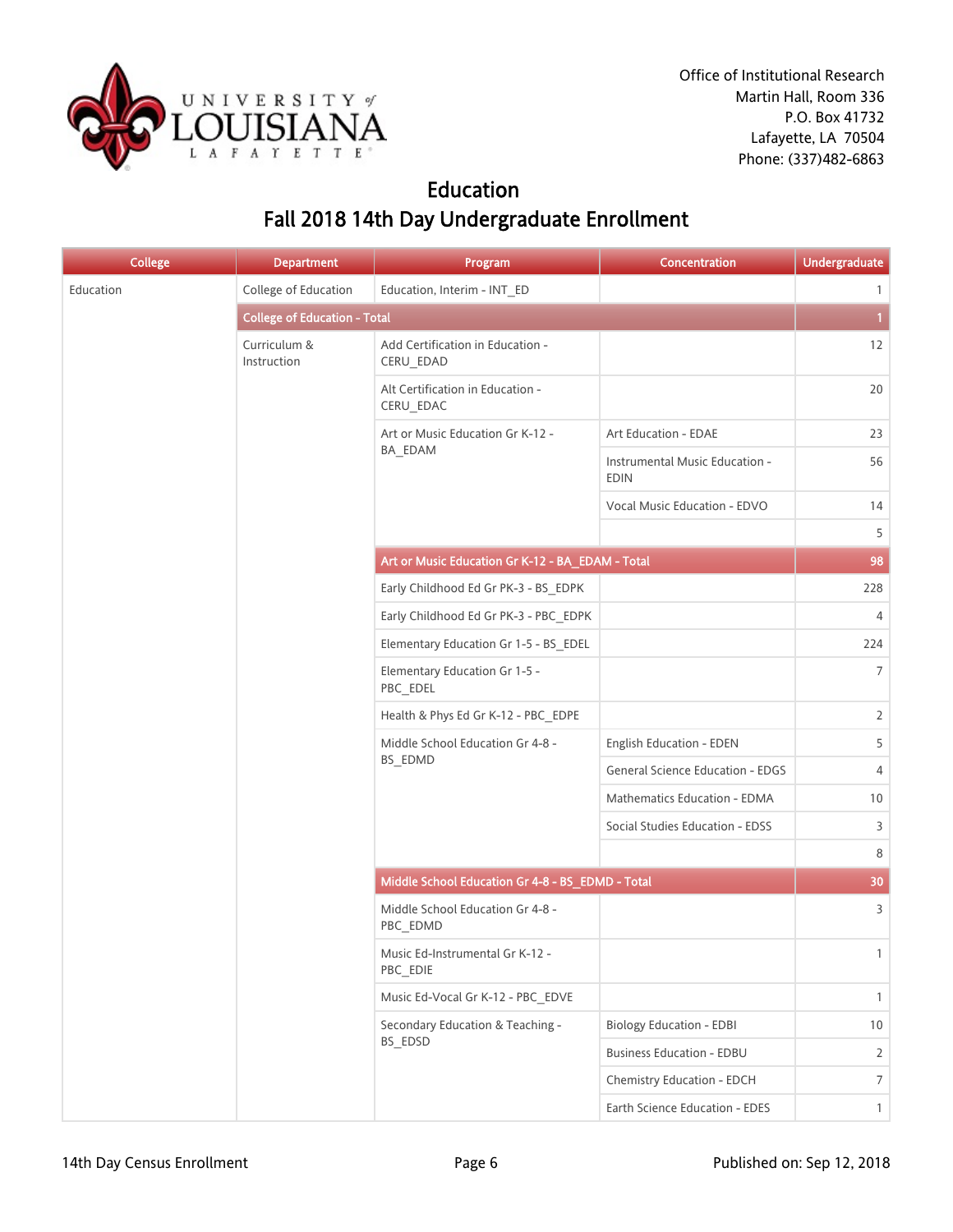

### Education Fall 2018 14th Day Undergraduate Enrollment

| <b>College</b> | <b>Department</b>                   | Program                                          | Concentration                                 | <b>Undergraduate</b> |
|----------------|-------------------------------------|--------------------------------------------------|-----------------------------------------------|----------------------|
| Education      | College of Education                | Education, Interim - INT_ED                      |                                               | $\mathbf{1}$         |
|                | <b>College of Education - Total</b> |                                                  |                                               | $\mathbf{1}$         |
|                | Curriculum &<br>Instruction         | Add Certification in Education -<br>CERU_EDAD    |                                               | 12                   |
|                |                                     | Alt Certification in Education -<br>CERU_EDAC    |                                               | 20                   |
|                |                                     | Art or Music Education Gr K-12 -                 | Art Education - EDAE                          | 23                   |
|                |                                     | BA_EDAM                                          | Instrumental Music Education -<br><b>EDIN</b> | 56                   |
|                |                                     |                                                  | Vocal Music Education - EDVO                  | 14                   |
|                |                                     |                                                  |                                               | 5                    |
|                |                                     | Art or Music Education Gr K-12 - BA_EDAM - Total |                                               | 98                   |
|                |                                     | Early Childhood Ed Gr PK-3 - BS_EDPK             |                                               | 228                  |
|                |                                     | Early Childhood Ed Gr PK-3 - PBC_EDPK            |                                               | 4                    |
|                |                                     | Elementary Education Gr 1-5 - BS EDEL            |                                               | 224                  |
|                |                                     | Elementary Education Gr 1-5 -<br>PBC_EDEL        |                                               | $\overline{7}$       |
|                |                                     | Health & Phys Ed Gr K-12 - PBC_EDPE              |                                               | $\overline{2}$       |
|                |                                     | Middle School Education Gr 4-8 -<br>BS_EDMD      | English Education - EDEN                      | 5                    |
|                |                                     |                                                  | General Science Education - EDGS              | 4                    |
|                |                                     |                                                  | Mathematics Education - EDMA                  | 10                   |
|                |                                     |                                                  | Social Studies Education - EDSS               | 3                    |
|                |                                     |                                                  |                                               | 8                    |
|                |                                     | Middle School Education Gr 4-8 - BS_EDMD - Total |                                               | 30                   |
|                |                                     | Middle School Education Gr 4-8 -<br>PBC_EDMD     |                                               | 3                    |
|                |                                     | Music Ed-Instrumental Gr K-12 -<br>PBC_EDIE      |                                               | $\mathbf{1}$         |
|                |                                     | Music Ed-Vocal Gr K-12 - PBC_EDVE                |                                               | $\mathbf{1}$         |
|                |                                     | Secondary Education & Teaching -                 | <b>Biology Education - EDBI</b>               | 10 <sup>°</sup>      |
|                |                                     | BS_EDSD                                          | <b>Business Education - EDBU</b>              | $\overline{2}$       |
|                |                                     |                                                  | Chemistry Education - EDCH                    | $7\overline{ }$      |
|                |                                     |                                                  | Earth Science Education - EDES                | $\mathbf{1}$         |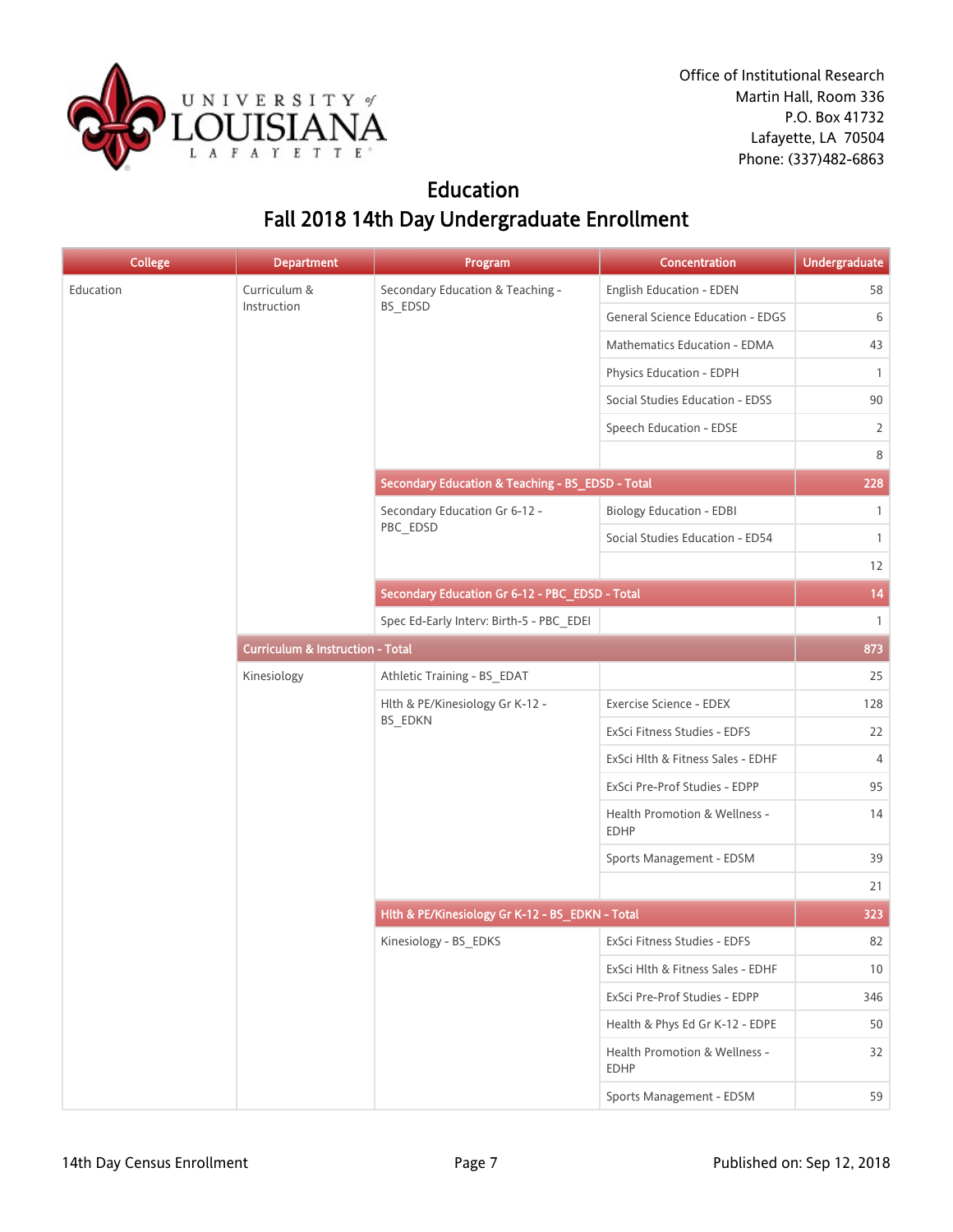

Office of Institutional Research Martin Hall, Room 336 P.O. Box 41732 Lafayette, LA 70504 Phone: (337)482-6863

## Education Fall 2018 14th Day Undergraduate Enrollment

| <b>College</b> | <b>Department</b> | Program                                          | Concentration                                | <b>Undergraduate</b> |
|----------------|-------------------|--------------------------------------------------|----------------------------------------------|----------------------|
| Education      | Curriculum &      | Secondary Education & Teaching -                 | English Education - EDEN                     | 58                   |
|                | Instruction       | BS_EDSD                                          | <b>General Science Education - EDGS</b>      | 6                    |
|                |                   |                                                  | Mathematics Education - EDMA                 | 43                   |
|                |                   |                                                  | Physics Education - EDPH                     | $\mathbf{1}$         |
|                |                   |                                                  | Social Studies Education - EDSS              | 90                   |
|                |                   |                                                  | Speech Education - EDSE                      | 2                    |
|                |                   |                                                  |                                              | 8                    |
|                |                   | Secondary Education & Teaching - BS_EDSD - Total |                                              | 228                  |
|                |                   | Secondary Education Gr 6-12 -                    | <b>Biology Education - EDBI</b>              | $\mathbf{1}$         |
|                |                   | PBC_EDSD                                         | Social Studies Education - ED54              | $\mathbf{1}$         |
|                |                   |                                                  |                                              | 12                   |
|                |                   | Secondary Education Gr 6-12 - PBC_EDSD - Total   |                                              | 14                   |
|                |                   | Spec Ed-Early Interv: Birth-5 - PBC_EDEI         |                                              | $\mathbf{1}$         |
|                |                   | <b>Curriculum &amp; Instruction - Total</b>      |                                              |                      |
|                | Kinesiology       | Athletic Training - BS_EDAT                      |                                              | 25                   |
|                |                   | Hlth & PE/Kinesiology Gr K-12 -<br>BS_EDKN       | Exercise Science - EDEX                      | 128                  |
|                |                   |                                                  | ExSci Fitness Studies - EDFS                 | 22                   |
|                |                   |                                                  | ExSci Hlth & Fitness Sales - EDHF            | 4                    |
|                |                   |                                                  | ExSci Pre-Prof Studies - EDPP                | 95                   |
|                |                   |                                                  | Health Promotion & Wellness -<br><b>EDHP</b> | 14                   |
|                |                   |                                                  | Sports Management - EDSM                     | 39                   |
|                |                   |                                                  |                                              | 21                   |
|                |                   | Hith & PE/Kinesiology Gr K-12 - BS_EDKN - Total  |                                              | 323                  |
|                |                   | Kinesiology - BS_EDKS                            | ExSci Fitness Studies - EDFS                 | 82                   |
|                |                   |                                                  | ExSci Hlth & Fitness Sales - EDHF            | 10                   |
|                |                   |                                                  | ExSci Pre-Prof Studies - EDPP                | 346                  |
|                |                   |                                                  | Health & Phys Ed Gr K-12 - EDPE              | 50                   |
|                |                   |                                                  | Health Promotion & Wellness -<br><b>EDHP</b> | 32                   |
|                |                   |                                                  | Sports Management - EDSM                     | 59                   |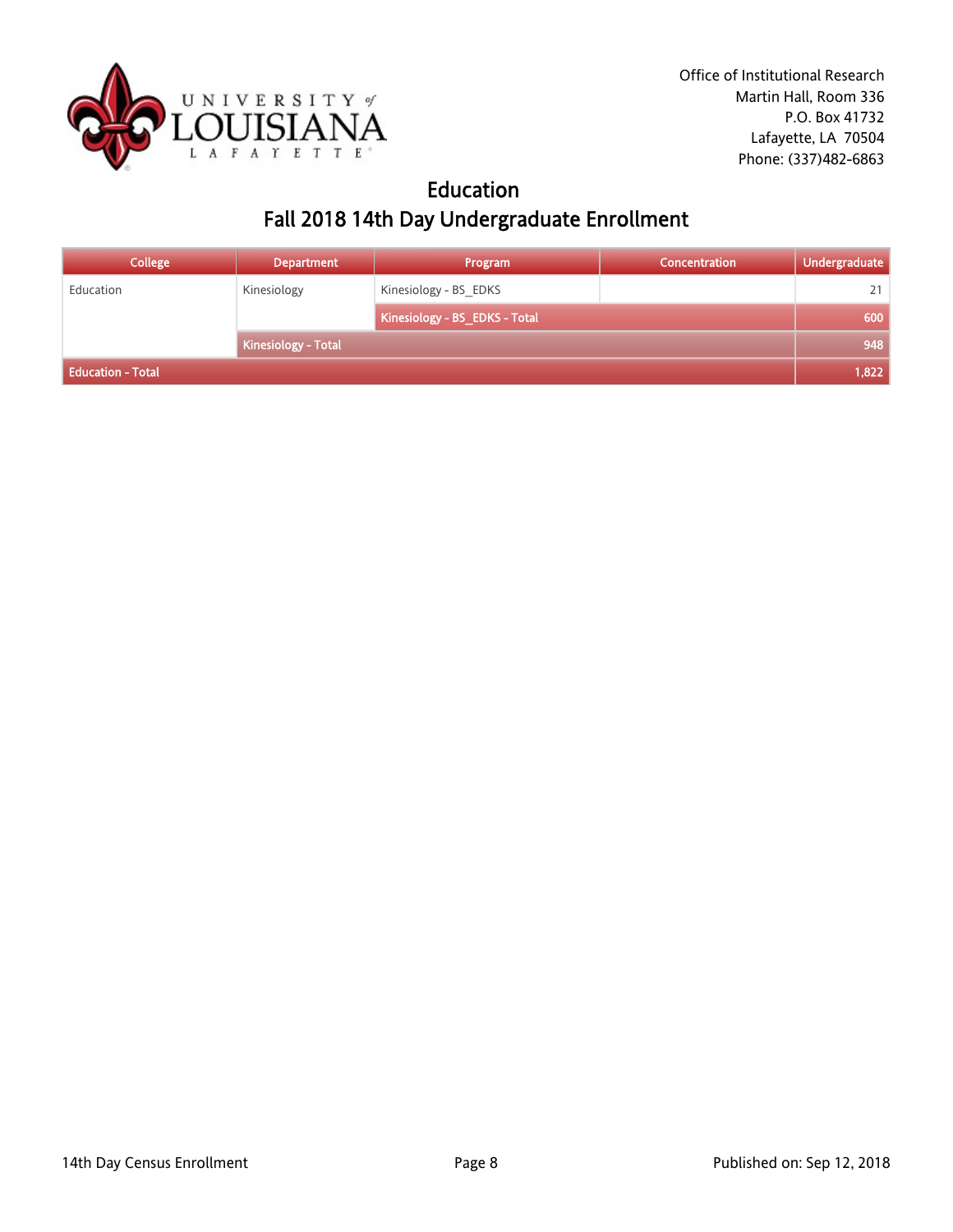

### Education Fall 2018 14th Day Undergraduate Enrollment

| <b>College</b>           | <b>Department</b>   | Program                       | <b>Concentration</b> | <b>Undergraduate</b> |
|--------------------------|---------------------|-------------------------------|----------------------|----------------------|
| Education                | Kinesiology         | Kinesiology - BS EDKS         |                      | 21                   |
|                          |                     | Kinesiology - BS_EDKS - Total |                      | 600                  |
|                          | Kinesiology - Total |                               |                      | 948                  |
| <b>Education - Total</b> |                     |                               |                      | 1,822                |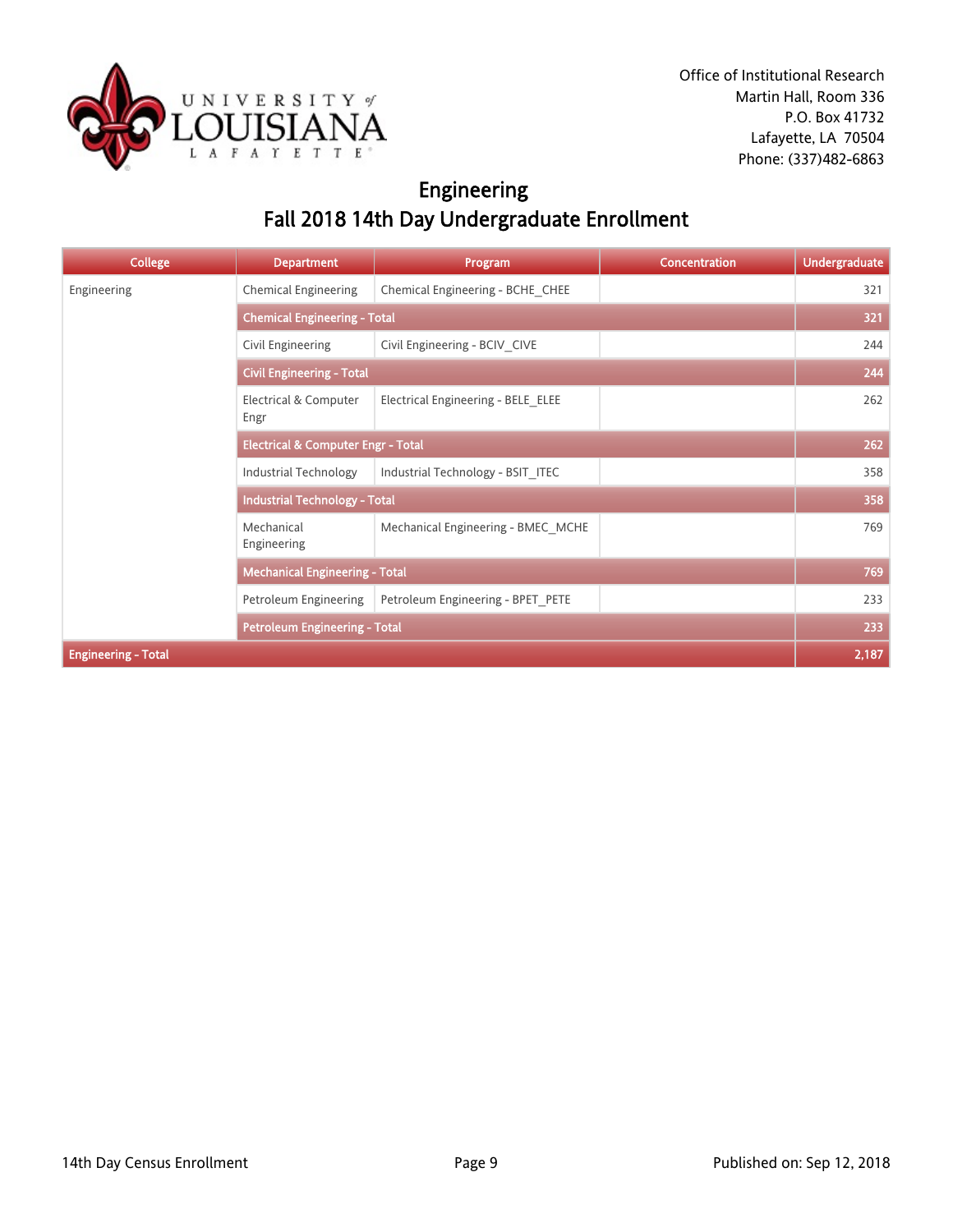

## Engineering Fall 2018 14th Day Undergraduate Enrollment

| <b>College</b>             | <b>Department</b>                             | Program                            | <b>Concentration</b> | <b>Undergraduate</b> |
|----------------------------|-----------------------------------------------|------------------------------------|----------------------|----------------------|
| Engineering                | <b>Chemical Engineering</b>                   | Chemical Engineering - BCHE_CHEE   |                      | 321                  |
|                            | <b>Chemical Engineering - Total</b>           |                                    |                      | 321                  |
|                            | Civil Engineering                             | Civil Engineering - BCIV_CIVE      |                      | 244                  |
|                            | <b>Civil Engineering - Total</b>              |                                    |                      | 244                  |
|                            | Electrical & Computer<br>Engr                 | Electrical Engineering - BELE ELEE |                      | 262                  |
|                            | <b>Electrical &amp; Computer Engr - Total</b> |                                    |                      | 262                  |
|                            | <b>Industrial Technology</b>                  | Industrial Technology - BSIT ITEC  |                      | 358                  |
|                            | <b>Industrial Technology - Total</b>          |                                    |                      | 358                  |
|                            | Mechanical<br>Engineering                     | Mechanical Engineering - BMEC MCHE |                      | 769                  |
|                            | <b>Mechanical Engineering - Total</b>         |                                    |                      | 769                  |
|                            | Petroleum Engineering                         | Petroleum Engineering - BPET_PETE  |                      | 233                  |
|                            | <b>Petroleum Engineering - Total</b>          |                                    |                      | 233                  |
| <b>Engineering - Total</b> |                                               |                                    |                      | 2,187                |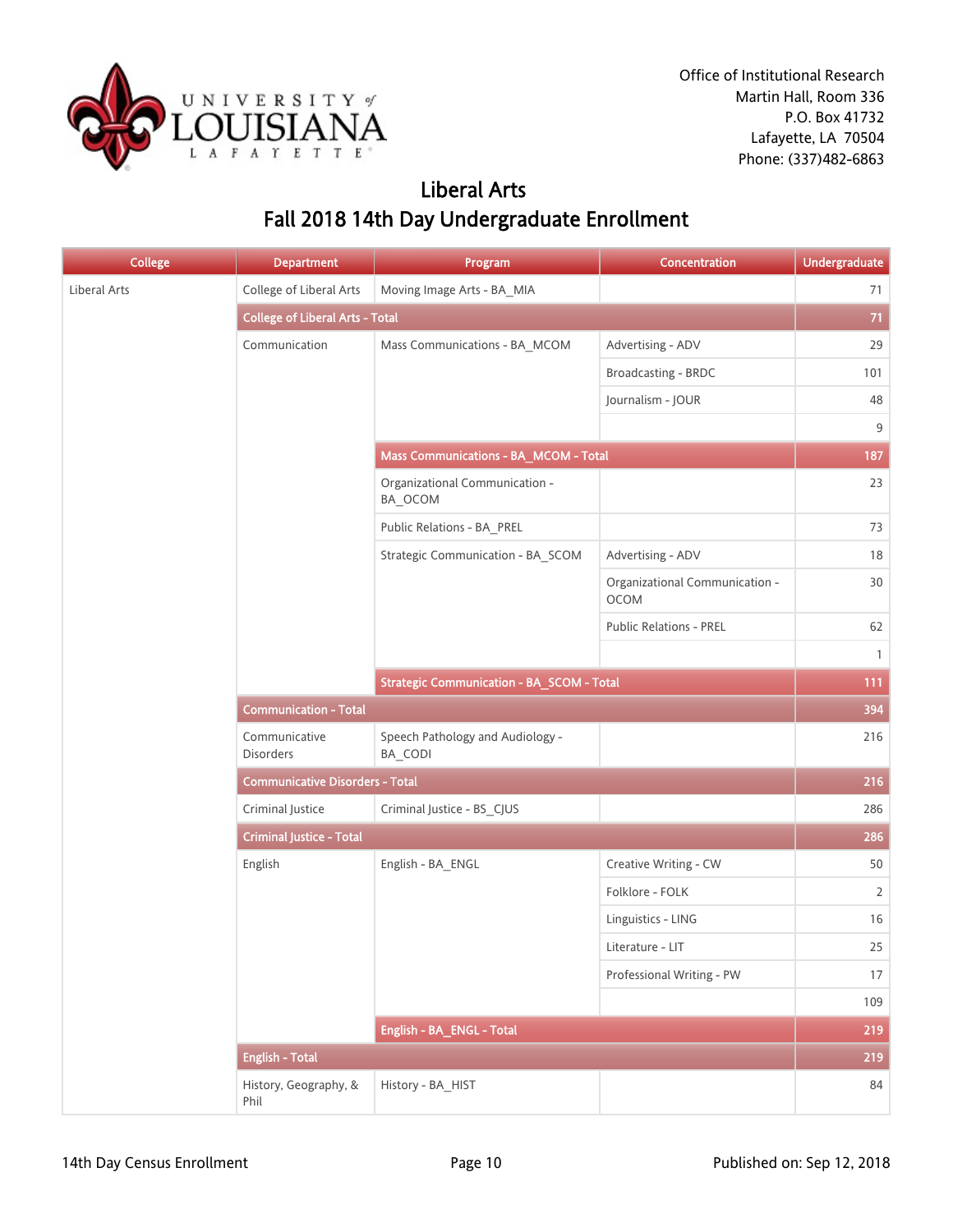

### Liberal Arts Fall 2018 14th Day Undergraduate Enrollment

| <b>College</b> | <b>Department</b>                      | Program                                          | Concentration                          | <b>Undergraduate</b> |
|----------------|----------------------------------------|--------------------------------------------------|----------------------------------------|----------------------|
| Liberal Arts   | College of Liberal Arts                | Moving Image Arts - BA_MIA                       |                                        | 71                   |
|                | <b>College of Liberal Arts - Total</b> |                                                  |                                        | 71                   |
|                | Communication                          | Mass Communications - BA_MCOM                    | Advertising - ADV                      | 29                   |
|                |                                        |                                                  | Broadcasting - BRDC                    | 101                  |
|                |                                        |                                                  | Journalism - JOUR                      | 48                   |
|                |                                        |                                                  |                                        | $9\,$                |
|                |                                        | Mass Communications - BA_MCOM - Total            |                                        | 187                  |
|                |                                        | Organizational Communication -<br>BA_OCOM        |                                        | 23                   |
|                |                                        | Public Relations - BA_PREL                       |                                        | 73                   |
|                |                                        | Strategic Communication - BA_SCOM                | Advertising - ADV                      | 18                   |
|                |                                        |                                                  | Organizational Communication -<br>OCOM | $30\,$               |
|                |                                        |                                                  | Public Relations - PREL                | 62                   |
|                |                                        |                                                  |                                        | $\mathbf{1}$         |
|                |                                        | <b>Strategic Communication - BA_SCOM - Total</b> |                                        | 111                  |
|                | <b>Communication - Total</b>           |                                                  |                                        |                      |
|                | Communicative<br>Disorders             | Speech Pathology and Audiology -<br>BA_CODI      |                                        | 216                  |
|                | <b>Communicative Disorders - Total</b> |                                                  |                                        | 216                  |
|                | Criminal Justice                       | Criminal Justice - BS_CJUS                       |                                        | 286                  |
|                | <b>Criminal Justice - Total</b>        |                                                  |                                        | 286                  |
|                | English                                | English - BA_ENGL                                | Creative Writing - CW                  | 50                   |
|                |                                        |                                                  | Folklore - FOLK                        | $\overline{2}$       |
|                |                                        |                                                  | Linguistics - LING                     | 16                   |
|                |                                        |                                                  | Literature - LIT                       | 25                   |
|                |                                        |                                                  | Professional Writing - PW              | 17                   |
|                |                                        |                                                  |                                        | 109                  |
|                |                                        | English - BA_ENGL - Total                        |                                        | 219                  |
|                | <b>English - Total</b>                 |                                                  |                                        | 219                  |
|                | History, Geography, &<br>Phil          | History - BA_HIST                                |                                        | 84                   |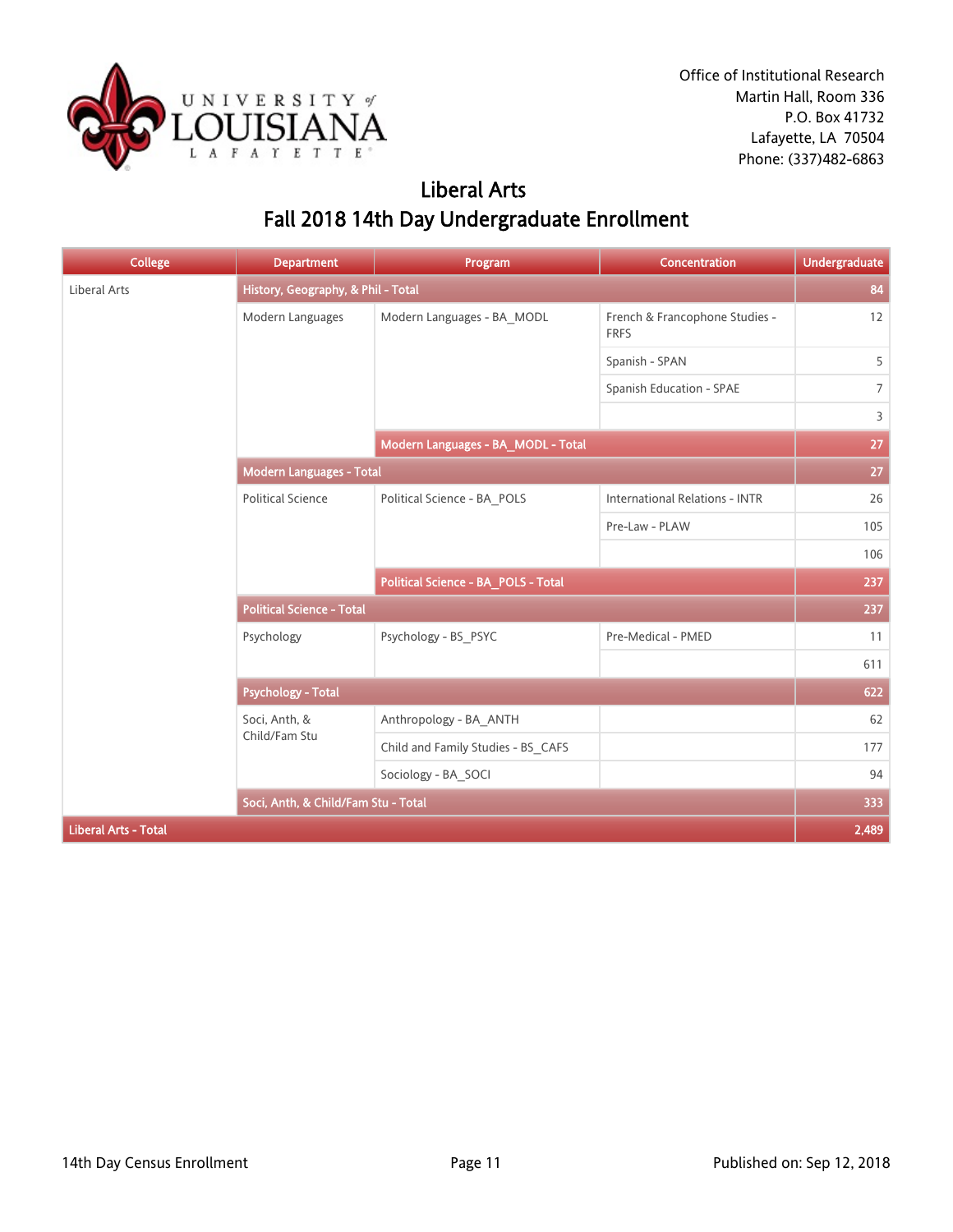

### Liberal Arts Fall 2018 14th Day Undergraduate Enrollment

| <b>College</b>              | <b>Department</b>                   | Program                             | Concentration                                 | <b>Undergraduate</b> |
|-----------------------------|-------------------------------------|-------------------------------------|-----------------------------------------------|----------------------|
| <b>Liberal Arts</b>         | History, Geography, & Phil - Total  |                                     |                                               | 84                   |
|                             | Modern Languages                    | Modern Languages - BA_MODL          | French & Francophone Studies -<br><b>FRFS</b> | 12                   |
|                             |                                     |                                     | Spanish - SPAN                                | 5                    |
|                             |                                     |                                     | Spanish Education - SPAE                      | $\overline{7}$       |
|                             |                                     |                                     |                                               | 3                    |
|                             |                                     | Modern Languages - BA_MODL - Total  |                                               | 27                   |
|                             | Modern Languages - Total            |                                     |                                               |                      |
|                             | <b>Political Science</b>            | Political Science - BA_POLS         | <b>International Relations - INTR</b>         | 26                   |
|                             |                                     |                                     | Pre-Law - PLAW                                | 105                  |
|                             |                                     |                                     |                                               | 106                  |
|                             |                                     | Political Science - BA_POLS - Total |                                               | 237                  |
|                             | <b>Political Science - Total</b>    |                                     |                                               | 237                  |
|                             | Psychology                          | Psychology - BS PSYC                | Pre-Medical - PMED                            | 11                   |
|                             |                                     |                                     |                                               | 611                  |
|                             | <b>Psychology - Total</b>           |                                     |                                               | 622                  |
|                             | Soci, Anth, &                       | Anthropology - BA_ANTH              |                                               | 62                   |
|                             | Child/Fam Stu                       | Child and Family Studies - BS CAFS  |                                               | 177                  |
|                             |                                     | Sociology - BA_SOCI                 |                                               | 94                   |
|                             | Soci, Anth, & Child/Fam Stu - Total |                                     |                                               | 333                  |
| <b>Liberal Arts - Total</b> |                                     |                                     |                                               | 2,489                |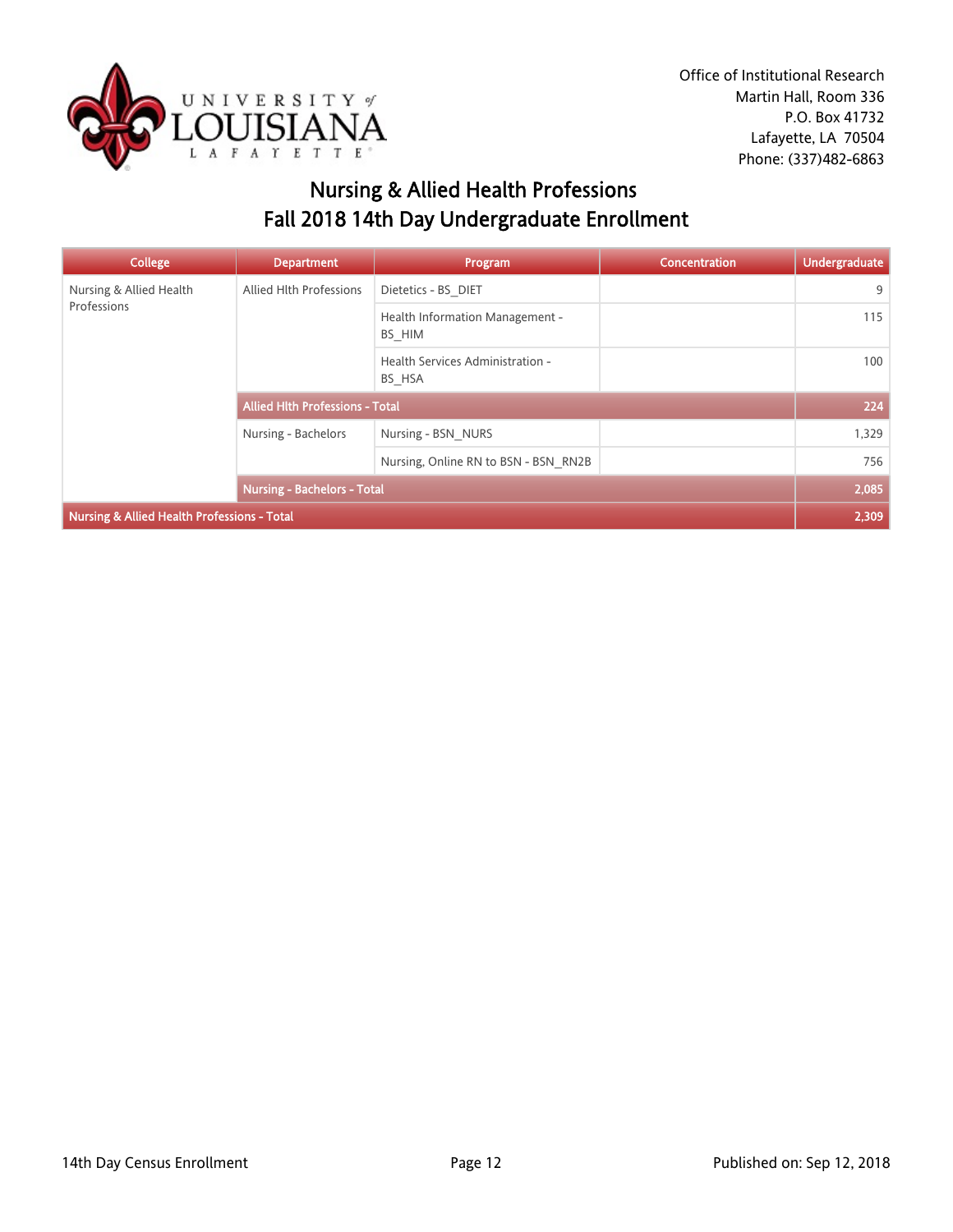

## Nursing & Allied Health Professions Fall 2018 14th Day Undergraduate Enrollment

| <b>College</b>                              | <b>Department</b>                      | Program                                    | <b>Concentration</b> | Undergraduate |
|---------------------------------------------|----------------------------------------|--------------------------------------------|----------------------|---------------|
| Nursing & Allied Health                     | Allied Hlth Professions                | Dietetics - BS DIET                        |                      | 9             |
| Professions                                 |                                        | Health Information Management -<br>BS HIM  |                      | 115           |
|                                             |                                        | Health Services Administration -<br>BS_HSA |                      | 100           |
|                                             | <b>Allied Hith Professions - Total</b> |                                            |                      | 224           |
|                                             | Nursing - Bachelors                    | Nursing - BSN NURS                         |                      | 1,329         |
|                                             |                                        | Nursing, Online RN to BSN - BSN RN2B       |                      | 756           |
|                                             | <b>Nursing - Bachelors - Total</b>     |                                            |                      | 2,085         |
| Nursing & Allied Health Professions - Total |                                        |                                            |                      | 2,309         |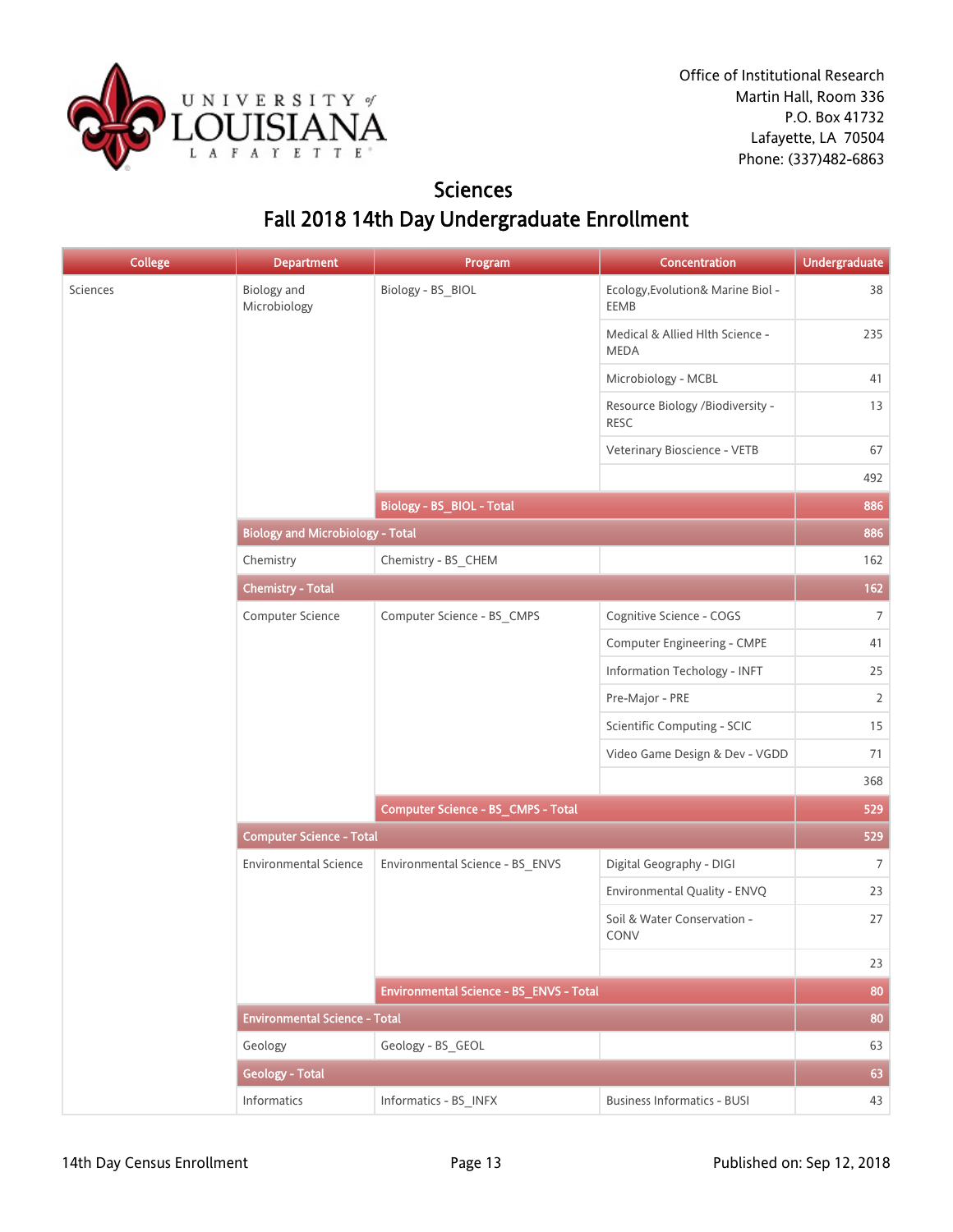

### Sciences Fall 2018 14th Day Undergraduate Enrollment

| <b>College</b> | <b>Department</b>                       | Program                                 | Concentration                                  | <b>Undergraduate</b> |  |
|----------------|-----------------------------------------|-----------------------------------------|------------------------------------------------|----------------------|--|
| Sciences       | <b>Biology</b> and<br>Microbiology      | Biology - BS_BIOL                       | Ecology, Evolution& Marine Biol -<br>EEMB      | 38                   |  |
|                |                                         |                                         | Medical & Allied Hlth Science -<br><b>MEDA</b> | 235                  |  |
|                |                                         |                                         | Microbiology - MCBL                            | 41                   |  |
|                |                                         |                                         | Resource Biology /Biodiversity -<br>RESC       | 13                   |  |
|                |                                         |                                         | Veterinary Bioscience - VETB                   | 67                   |  |
|                |                                         |                                         |                                                | 492                  |  |
|                |                                         | <b>Biology - BS_BIOL - Total</b>        |                                                | 886                  |  |
|                | <b>Biology and Microbiology - Total</b> |                                         |                                                | 886                  |  |
|                | Chemistry                               | Chemistry - BS_CHEM                     |                                                | 162                  |  |
|                | <b>Chemistry - Total</b>                |                                         |                                                | 162                  |  |
|                | Computer Science                        | Computer Science - BS_CMPS              | Cognitive Science - COGS                       | $\overline{7}$       |  |
|                |                                         |                                         | Computer Engineering - CMPE                    | 41                   |  |
|                |                                         |                                         | Information Techology - INFT                   | 25                   |  |
|                |                                         |                                         | Pre-Major - PRE                                | $\overline{2}$       |  |
|                |                                         |                                         | Scientific Computing - SCIC                    | 15                   |  |
|                |                                         |                                         | Video Game Design & Dev - VGDD                 | 71                   |  |
|                |                                         |                                         |                                                | 368                  |  |
|                |                                         | Computer Science - BS_CMPS - Total      | 529                                            |                      |  |
|                | <b>Computer Science - Total</b>         |                                         |                                                |                      |  |
|                | <b>Environmental Science</b>            | Environmental Science - BS_ENVS         | Digital Geography - DIGI                       | $\overline{7}$       |  |
|                |                                         |                                         | Environmental Quality - ENVQ                   | 23                   |  |
|                |                                         |                                         | Soil & Water Conservation -<br>CONV            | 27                   |  |
|                |                                         |                                         |                                                | 23                   |  |
|                |                                         | Environmental Science - BS_ENVS - Total |                                                | 80                   |  |
|                | <b>Environmental Science - Total</b>    |                                         |                                                |                      |  |
|                | Geology                                 | Geology - BS_GEOL                       |                                                | 63                   |  |
|                | <b>Geology - Total</b>                  |                                         |                                                | 63                   |  |
|                | Informatics                             | Informatics - BS_INFX                   | <b>Business Informatics - BUSI</b>             | 43                   |  |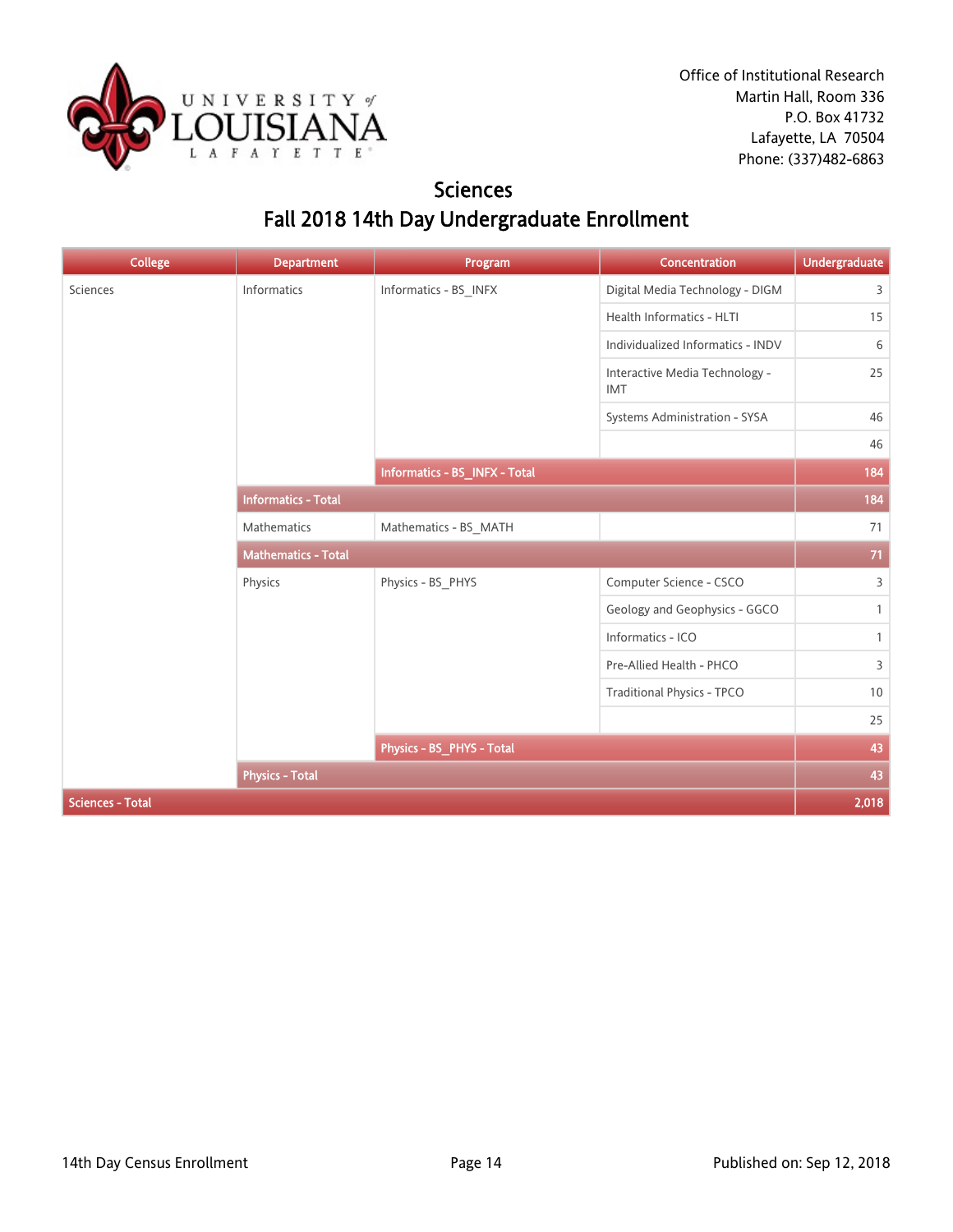

### **Sciences** Fall 2018 14th Day Undergraduate Enrollment

| <b>College</b>          | <b>Department</b>          | Program                       | Concentration                                | <b>Undergraduate</b> |
|-------------------------|----------------------------|-------------------------------|----------------------------------------------|----------------------|
| Sciences                | Informatics                | Informatics - BS_INFX         | Digital Media Technology - DIGM              | 3                    |
|                         |                            |                               | Health Informatics - HLTI                    | 15                   |
|                         |                            |                               | Individualized Informatics - INDV            | 6                    |
|                         |                            |                               | Interactive Media Technology -<br><b>IMT</b> | 25                   |
|                         |                            |                               | Systems Administration - SYSA                | 46                   |
|                         |                            |                               |                                              | 46                   |
|                         |                            | Informatics - BS_INFX - Total |                                              | 184                  |
|                         | <b>Informatics - Total</b> |                               |                                              | 184                  |
|                         | <b>Mathematics</b>         | Mathematics - BS_MATH         |                                              | 71                   |
|                         | <b>Mathematics - Total</b> |                               |                                              | 71                   |
|                         | Physics                    | Physics - BS_PHYS             | Computer Science - CSCO                      | 3                    |
|                         |                            |                               | Geology and Geophysics - GGCO                | $\mathbf{1}$         |
|                         |                            |                               | Informatics - ICO                            | $\mathbf{1}$         |
|                         |                            |                               | Pre-Allied Health - PHCO                     | 3                    |
|                         |                            |                               | <b>Traditional Physics - TPCO</b>            | 10                   |
|                         |                            |                               |                                              | 25                   |
|                         |                            | Physics - BS_PHYS - Total     |                                              | 43                   |
|                         | <b>Physics - Total</b>     |                               |                                              | 43                   |
| <b>Sciences - Total</b> |                            |                               |                                              |                      |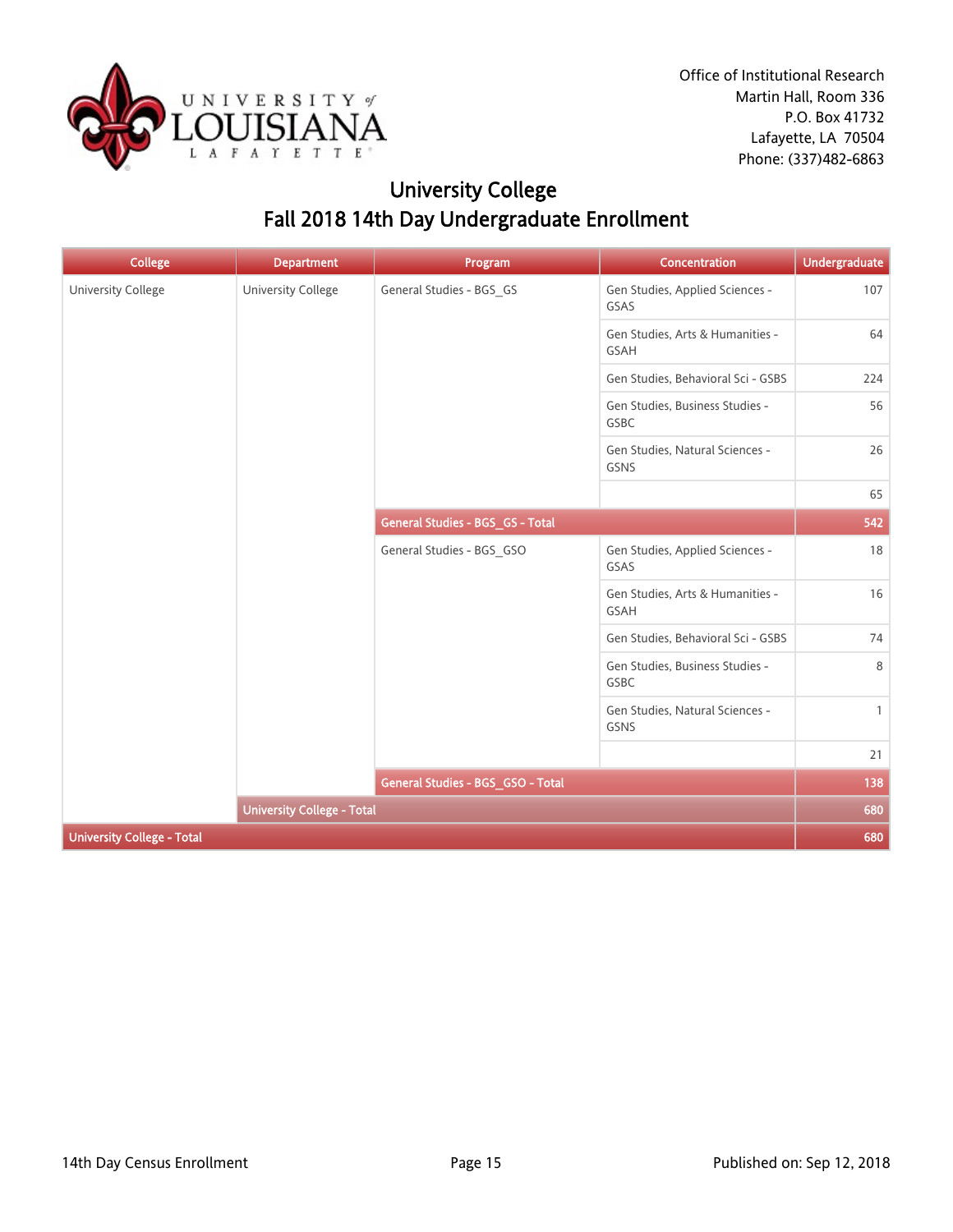

# University College Fall 2018 14th Day Undergraduate Enrollment

| <b>College</b>                    | <b>Department</b>                 | Program                           | Concentration                            | <b>Undergraduate</b> |
|-----------------------------------|-----------------------------------|-----------------------------------|------------------------------------------|----------------------|
| <b>University College</b>         | University College                | General Studies - BGS_GS          | Gen Studies, Applied Sciences -<br>GSAS  | 107                  |
|                                   |                                   |                                   | Gen Studies, Arts & Humanities -<br>GSAH | 64                   |
|                                   |                                   |                                   | Gen Studies, Behavioral Sci - GSBS       | 224                  |
|                                   |                                   |                                   | Gen Studies, Business Studies -<br>GSBC  | 56                   |
|                                   |                                   |                                   | Gen Studies, Natural Sciences -<br>GSNS  | 26                   |
|                                   |                                   |                                   |                                          | 65                   |
|                                   |                                   | General Studies - BGS_GS - Total  |                                          | 542                  |
|                                   |                                   | General Studies - BGS_GSO         | Gen Studies, Applied Sciences -<br>GSAS  | 18                   |
|                                   |                                   |                                   | Gen Studies, Arts & Humanities -<br>GSAH | 16                   |
|                                   |                                   |                                   | Gen Studies, Behavioral Sci - GSBS       | 74                   |
|                                   |                                   |                                   | Gen Studies, Business Studies -<br>GSBC  | 8                    |
|                                   |                                   |                                   | Gen Studies, Natural Sciences -<br>GSNS  | $\mathbf{1}$         |
|                                   |                                   |                                   |                                          | 21                   |
|                                   |                                   | General Studies - BGS_GSO - Total |                                          | 138                  |
|                                   | <b>University College - Total</b> |                                   |                                          | 680                  |
| <b>University College - Total</b> |                                   |                                   |                                          | 680                  |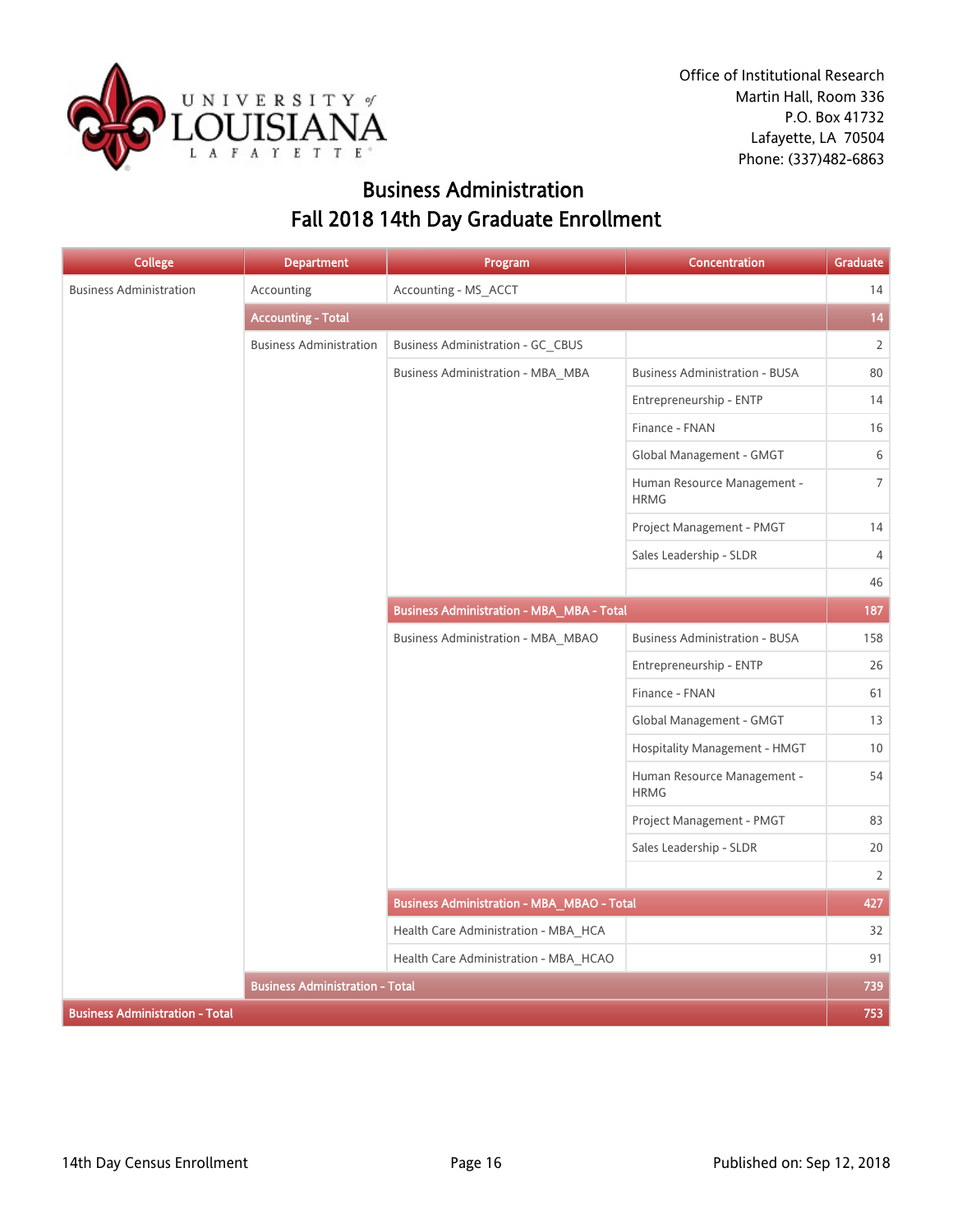

Office of Institutional Research Martin Hall, Room 336 P.O. Box 41732 Lafayette, LA 70504 Phone: (337)482-6863

### Business Administration Fall 2018 14th Day Graduate Enrollment

| <b>College</b>                         | <b>Department</b>                      | Program                                           | Concentration                              | Graduate       |
|----------------------------------------|----------------------------------------|---------------------------------------------------|--------------------------------------------|----------------|
| <b>Business Administration</b>         | Accounting                             | Accounting - MS_ACCT                              |                                            | 14             |
|                                        | <b>Accounting - Total</b>              |                                                   |                                            | 14             |
|                                        | <b>Business Administration</b>         | Business Administration - GC CBUS                 |                                            | $\overline{2}$ |
|                                        |                                        | Business Administration - MBA MBA                 | <b>Business Administration - BUSA</b>      | 80             |
|                                        |                                        |                                                   | Entrepreneurship - ENTP                    | 14             |
|                                        |                                        |                                                   | Finance - FNAN                             | 16             |
|                                        |                                        |                                                   | Global Management - GMGT                   | 6              |
|                                        |                                        |                                                   | Human Resource Management -<br><b>HRMG</b> | $\overline{7}$ |
|                                        |                                        |                                                   | Project Management - PMGT                  | 14             |
|                                        |                                        |                                                   | Sales Leadership - SLDR                    | 4              |
|                                        |                                        |                                                   |                                            | 46             |
|                                        |                                        | <b>Business Administration - MBA_MBA - Total</b>  |                                            | 187            |
|                                        |                                        | <b>Business Administration - MBA_MBAO</b>         | <b>Business Administration - BUSA</b>      | 158            |
|                                        |                                        |                                                   | Entrepreneurship - ENTP                    | 26             |
|                                        |                                        |                                                   | Finance - FNAN                             | 61             |
|                                        |                                        |                                                   | Global Management - GMGT                   | 13             |
|                                        |                                        |                                                   | Hospitality Management - HMGT              | 10             |
|                                        |                                        |                                                   | Human Resource Management -<br><b>HRMG</b> | 54             |
|                                        |                                        |                                                   | Project Management - PMGT                  | 83             |
|                                        |                                        |                                                   | Sales Leadership - SLDR                    | 20             |
|                                        |                                        |                                                   |                                            | $\overline{2}$ |
|                                        |                                        | <b>Business Administration - MBA_MBAO - Total</b> |                                            | 427            |
|                                        |                                        | Health Care Administration - MBA HCA              |                                            | 32             |
|                                        |                                        | Health Care Administration - MBA_HCAO             |                                            | 91             |
|                                        | <b>Business Administration - Total</b> |                                                   |                                            | 739            |
| <b>Business Administration - Total</b> |                                        |                                                   |                                            | 753            |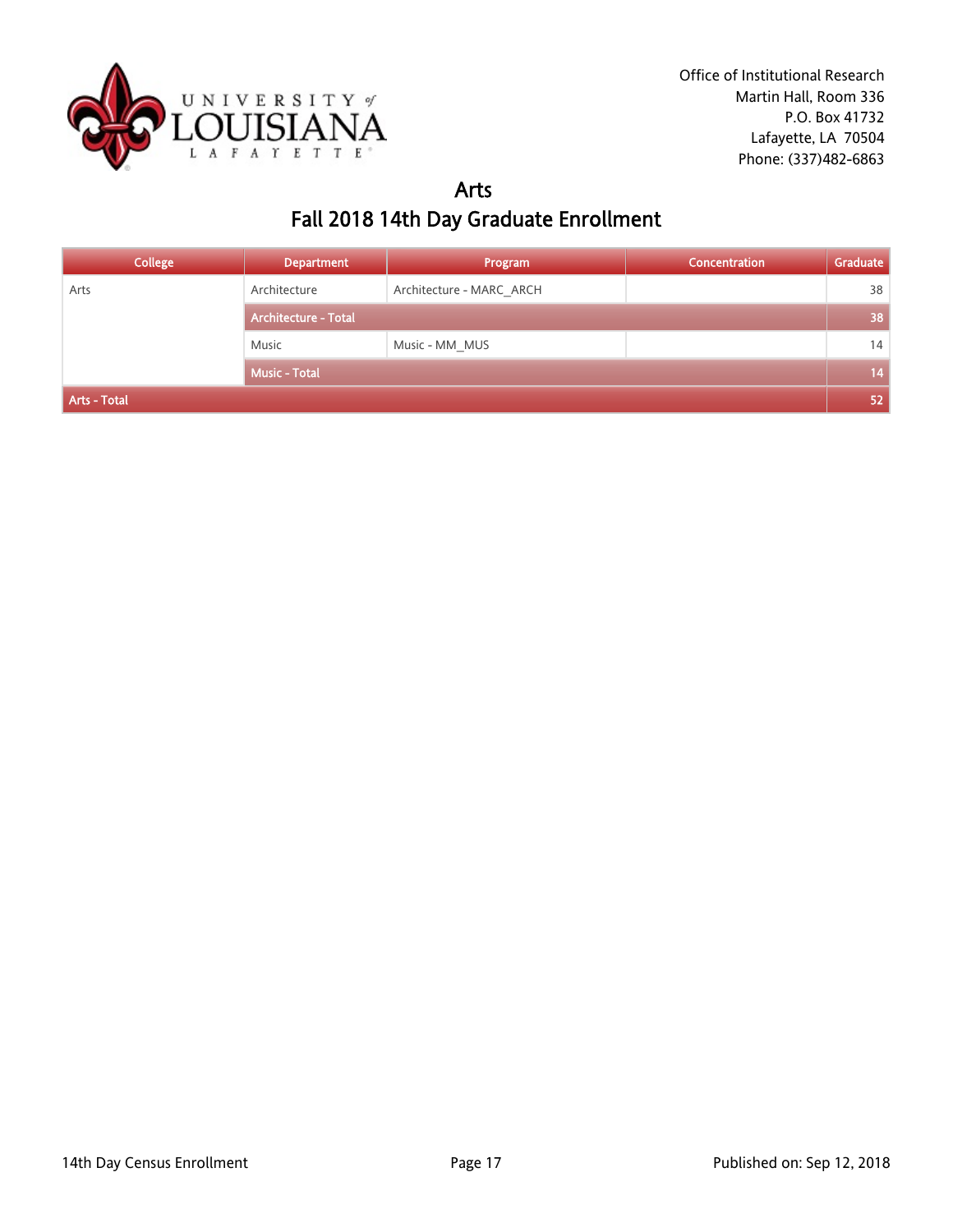

### Arts Fall 2018 14th Day Graduate Enrollment

| <b>College</b> | <b>Department</b>           | Program                  | Concentration | Graduate |
|----------------|-----------------------------|--------------------------|---------------|----------|
| Arts           | Architecture                | Architecture - MARC ARCH |               | 38       |
|                | <b>Architecture - Total</b> |                          |               | 38       |
|                | Music                       | Music - MM MUS           |               | 14       |
|                | <b>Music - Total</b>        |                          |               | 14       |
| Arts - Total   |                             |                          |               | 52       |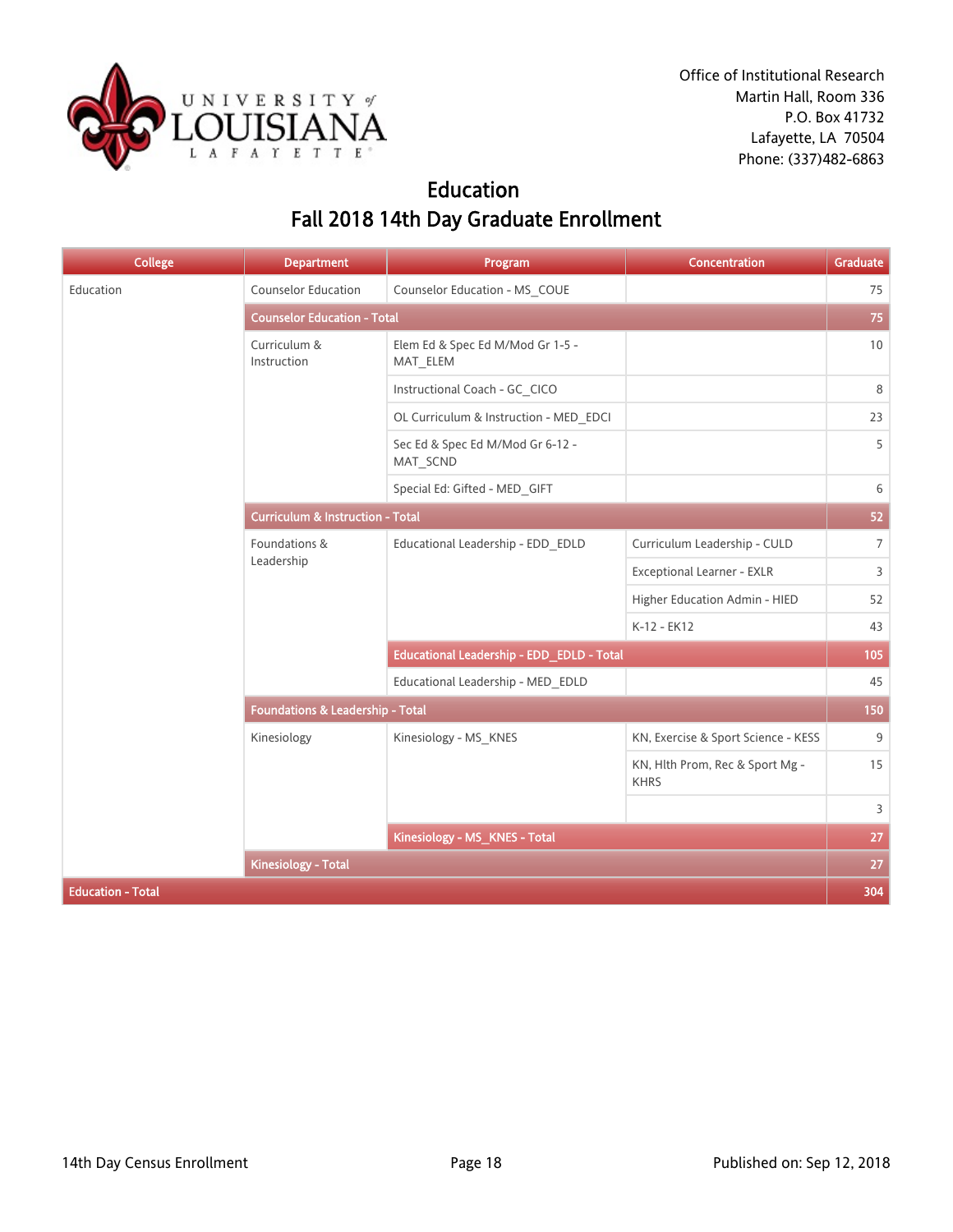

## Education Fall 2018 14th Day Graduate Enrollment

| <b>College</b>           | <b>Department</b>                           | Program                                      | <b>Concentration</b>                           | Graduate        |
|--------------------------|---------------------------------------------|----------------------------------------------|------------------------------------------------|-----------------|
| Education                | Counselor Education                         | Counselor Education - MS_COUE                |                                                | 75              |
|                          | <b>Counselor Education - Total</b>          |                                              |                                                | 75              |
|                          | Curriculum &<br>Instruction                 | Elem Ed & Spec Ed M/Mod Gr 1-5 -<br>MAT_ELEM |                                                | 10 <sup>°</sup> |
|                          |                                             | Instructional Coach - GC_CICO                |                                                | 8               |
|                          |                                             | OL Curriculum & Instruction - MED EDCI       |                                                | 23              |
|                          |                                             | Sec Ed & Spec Ed M/Mod Gr 6-12 -<br>MAT_SCND |                                                | 5               |
|                          |                                             | Special Ed: Gifted - MED_GIFT                |                                                | 6               |
|                          | <b>Curriculum &amp; Instruction - Total</b> |                                              |                                                |                 |
|                          | Foundations &<br>Leadership                 | Educational Leadership - EDD_EDLD            | Curriculum Leadership - CULD                   | $\overline{7}$  |
|                          |                                             |                                              | Exceptional Learner - EXLR                     | 3               |
|                          |                                             |                                              | Higher Education Admin - HIED                  | 52              |
|                          |                                             |                                              | K-12 - EK12                                    | 43              |
|                          |                                             | Educational Leadership - EDD_EDLD - Total    |                                                | 105             |
|                          |                                             | Educational Leadership - MED EDLD            |                                                | 45              |
|                          | Foundations & Leadership - Total            |                                              |                                                | 150             |
|                          | Kinesiology                                 | Kinesiology - MS_KNES                        | KN, Exercise & Sport Science - KESS            | 9               |
|                          |                                             |                                              | KN, Hlth Prom, Rec & Sport Mg -<br><b>KHRS</b> | 15              |
|                          |                                             |                                              |                                                | 3               |
|                          |                                             | Kinesiology - MS_KNES - Total                |                                                | 27              |
|                          | <b>Kinesiology - Total</b>                  |                                              |                                                | 27              |
| <b>Education - Total</b> |                                             |                                              |                                                |                 |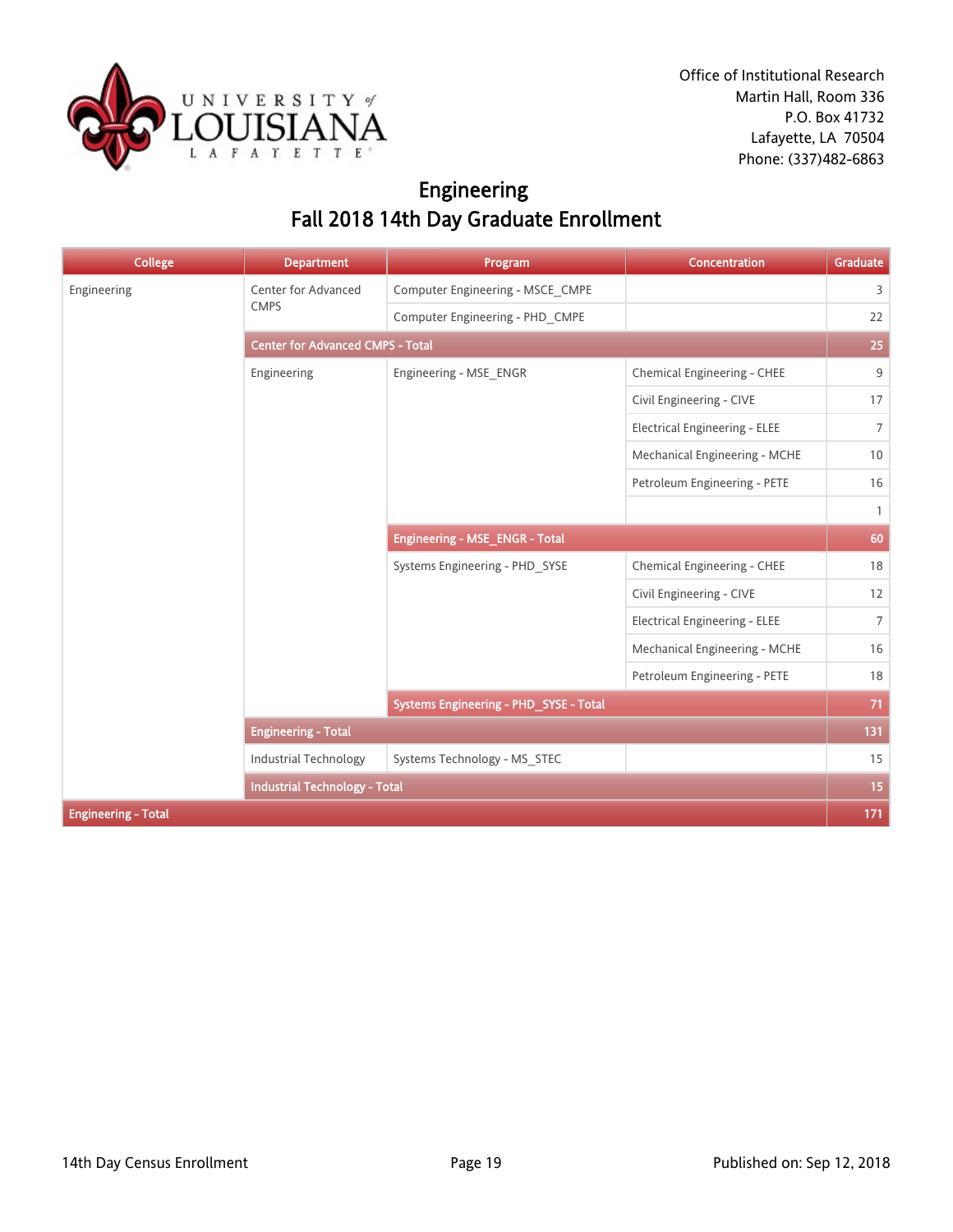

Office of Institutional Research Martin Hall, Room 336 P.O. Box 41732 Lafayette, LA 70504 Phone: (337)482-6863

## Engineering Fall 2018 14th Day Graduate Enrollment

| <b>College</b>             | <b>Department</b>                       | Program                                | <b>Concentration</b>                 | Graduate       |  |
|----------------------------|-----------------------------------------|----------------------------------------|--------------------------------------|----------------|--|
| Engineering                | Center for Advanced                     | Computer Engineering - MSCE CMPE       |                                      | $\overline{3}$ |  |
|                            | <b>CMPS</b>                             | Computer Engineering - PHD CMPE        |                                      | 22             |  |
|                            | <b>Center for Advanced CMPS - Total</b> |                                        |                                      |                |  |
|                            | Engineering                             | Engineering - MSE_ENGR                 | Chemical Engineering - CHEE          | 9              |  |
|                            |                                         |                                        | Civil Engineering - CIVE             | 17             |  |
|                            |                                         |                                        | <b>Electrical Engineering - ELEE</b> | $\overline{7}$ |  |
|                            |                                         |                                        | Mechanical Engineering - MCHE        | 10             |  |
|                            |                                         |                                        | Petroleum Engineering - PETE         | 16             |  |
|                            |                                         |                                        |                                      | $\mathbf{1}$   |  |
|                            |                                         | Engineering - MSE_ENGR - Total         |                                      | 60             |  |
|                            |                                         | Systems Engineering - PHD_SYSE         | Chemical Engineering - CHEE          | 18             |  |
|                            |                                         |                                        | Civil Engineering - CIVE             | 12             |  |
|                            |                                         |                                        | Electrical Engineering - ELEE        | $7^{\circ}$    |  |
|                            |                                         |                                        | Mechanical Engineering - MCHE        | 16             |  |
|                            |                                         |                                        | Petroleum Engineering - PETE         | 18             |  |
|                            |                                         | Systems Engineering - PHD_SYSE - Total |                                      | 71             |  |
|                            | <b>Engineering - Total</b>              |                                        |                                      | 131            |  |
|                            | Industrial Technology                   | Systems Technology - MS_STEC           |                                      | 15             |  |
|                            | <b>Industrial Technology - Total</b>    |                                        |                                      | 15             |  |
| <b>Engineering - Total</b> |                                         |                                        |                                      | 171            |  |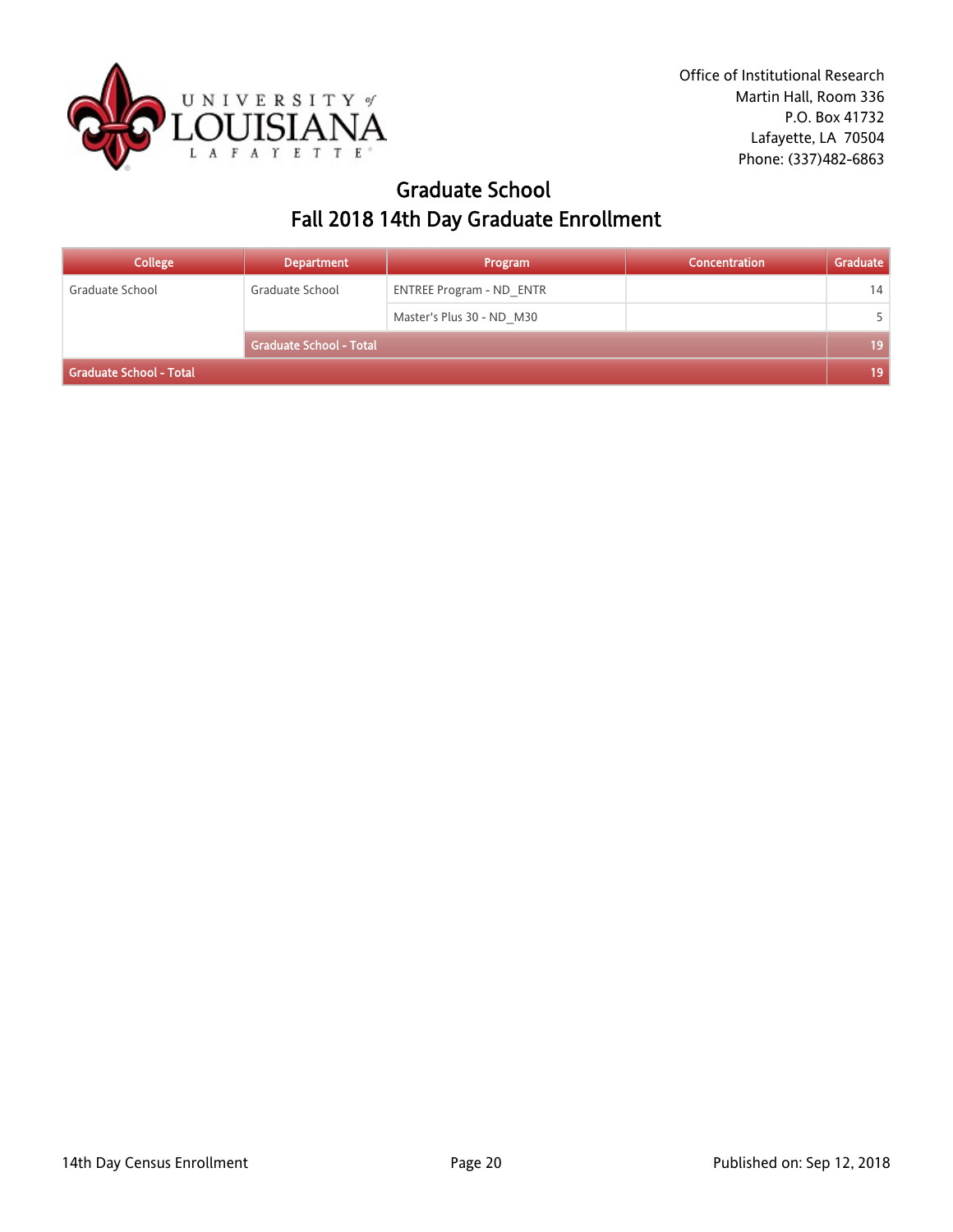

### Graduate School Fall 2018 14th Day Graduate Enrollment

| <b>College</b>          | <b>Department</b>              | Program                         | Concentration | Graduate |
|-------------------------|--------------------------------|---------------------------------|---------------|----------|
| Graduate School         | Graduate School                | <b>ENTREE Program - ND ENTR</b> |               | 14       |
|                         |                                | Master's Plus 30 - ND M30       |               |          |
|                         | <b>Graduate School - Total</b> |                                 |               | 19       |
| Graduate School - Total |                                |                                 |               | 19       |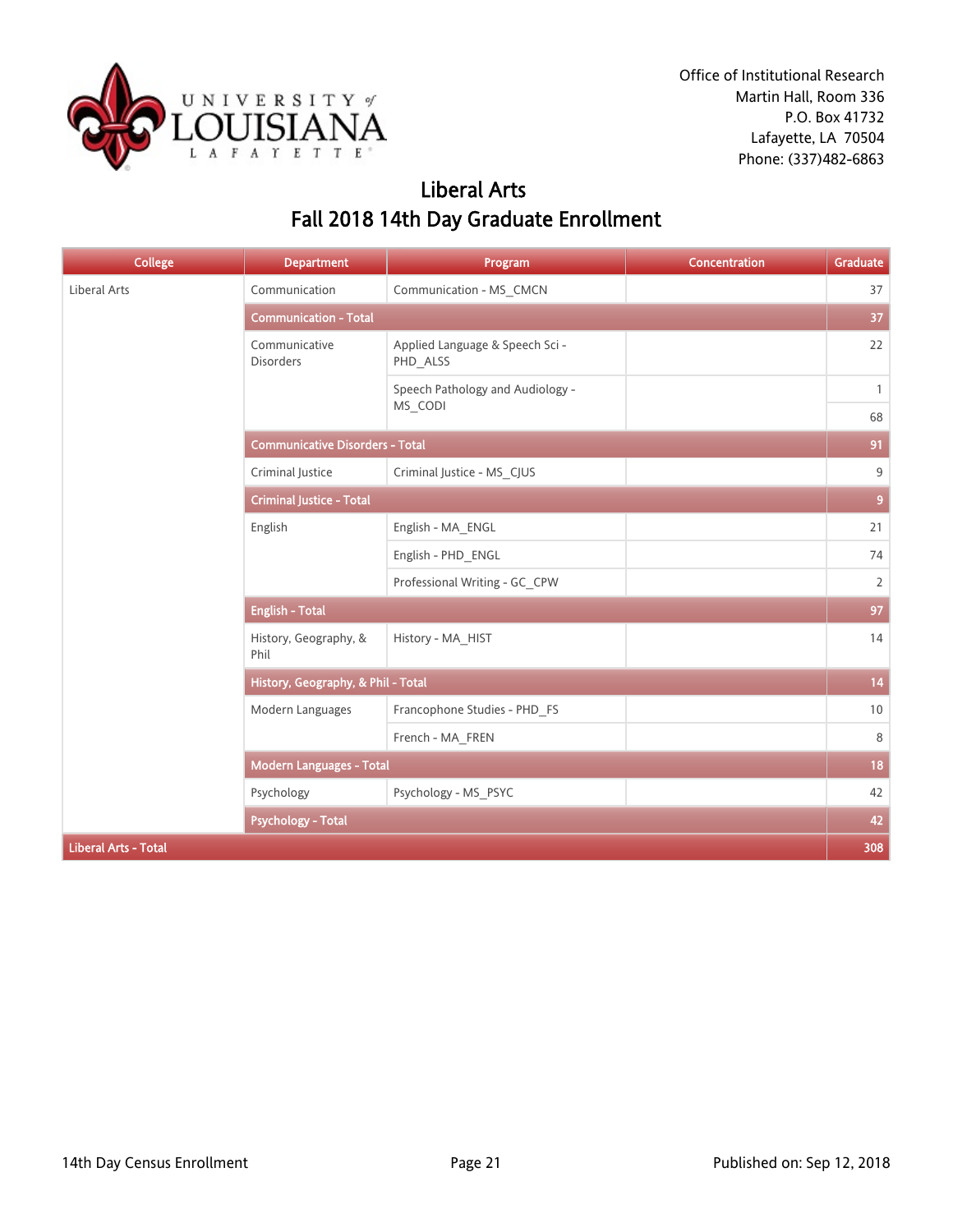

### Liberal Arts Fall 2018 14th Day Graduate Enrollment

| <b>College</b>              | <b>Department</b>                      | Program                                     | <b>Concentration</b> | Graduate     |  |
|-----------------------------|----------------------------------------|---------------------------------------------|----------------------|--------------|--|
| Liberal Arts                | Communication                          | Communication - MS_CMCN                     |                      | 37           |  |
|                             | <b>Communication - Total</b>           |                                             |                      |              |  |
|                             | Communicative<br><b>Disorders</b>      | Applied Language & Speech Sci -<br>PHD_ALSS |                      | 22           |  |
|                             |                                        | Speech Pathology and Audiology -            |                      | $\mathbf{1}$ |  |
|                             |                                        | MS_CODI                                     |                      | 68           |  |
|                             | <b>Communicative Disorders - Total</b> |                                             |                      | 91           |  |
|                             | Criminal Justice                       | Criminal Justice - MS_CJUS                  |                      | 9            |  |
|                             | <b>Criminal Justice - Total</b>        |                                             |                      |              |  |
|                             | English                                | English - MA_ENGL                           |                      | 21           |  |
|                             |                                        | English - PHD_ENGL                          |                      | 74           |  |
|                             |                                        | Professional Writing - GC_CPW               |                      | 2            |  |
|                             | <b>English - Total</b>                 |                                             |                      |              |  |
|                             | History, Geography, &<br>Phil          | History - MA_HIST                           |                      | 14           |  |
|                             | History, Geography, & Phil - Total     |                                             |                      | 14           |  |
|                             | Modern Languages                       | Francophone Studies - PHD_FS                |                      | 10           |  |
|                             |                                        | French - MA_FREN                            |                      | 8            |  |
|                             | <b>Modern Languages - Total</b>        |                                             |                      | 18           |  |
|                             | Psychology                             | Psychology - MS_PSYC                        |                      | 42           |  |
|                             | <b>Psychology - Total</b>              |                                             |                      | 42           |  |
| <b>Liberal Arts - Total</b> |                                        |                                             |                      | 308          |  |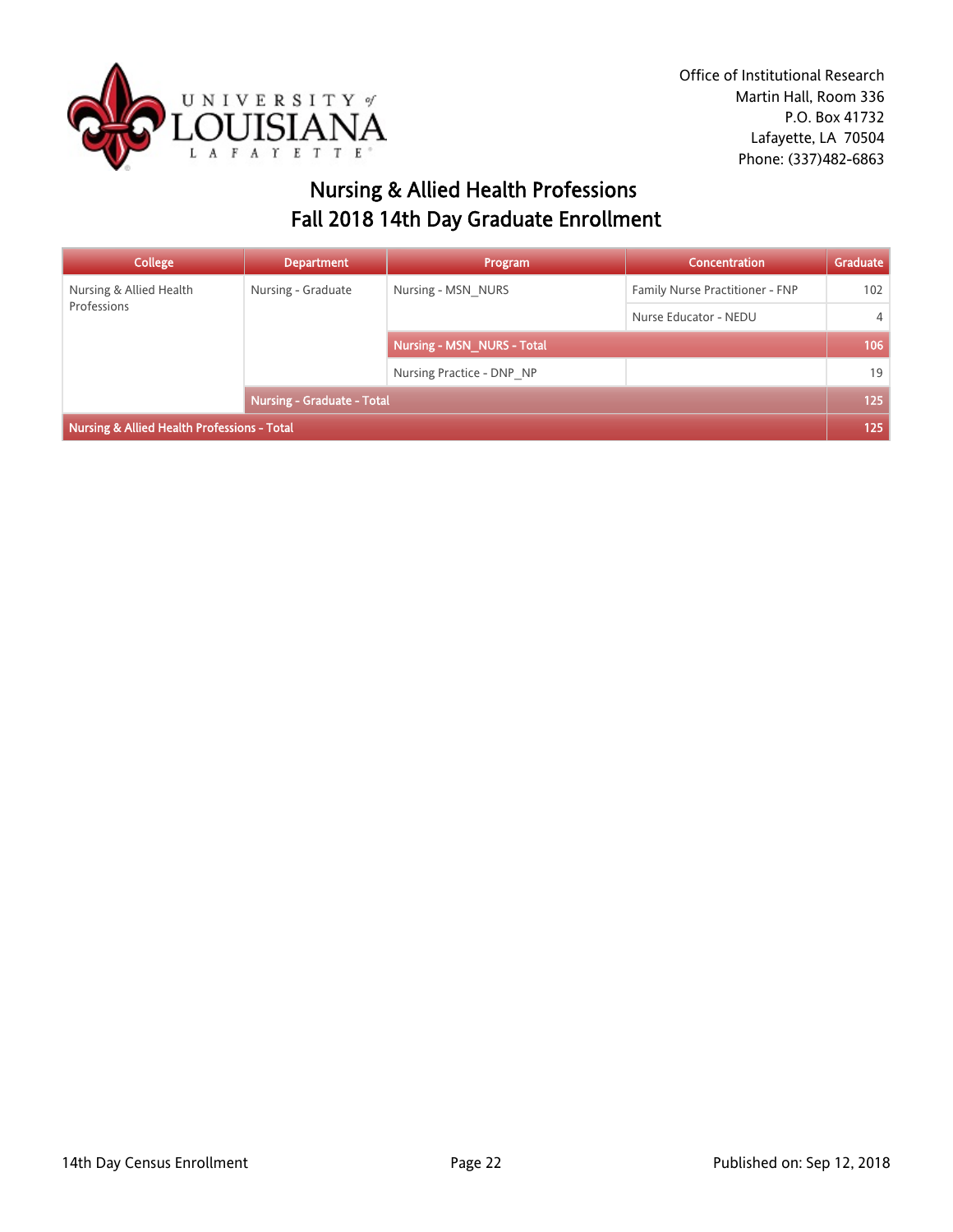

## Nursing & Allied Health Professions Fall 2018 14th Day Graduate Enrollment

| <b>College</b>                              | <b>Department</b>                 | Program                    | Concentration                   | Graduate       |
|---------------------------------------------|-----------------------------------|----------------------------|---------------------------------|----------------|
| Nursing & Allied Health<br>Professions      | Nursing - Graduate                | Nursing - MSN NURS         | Family Nurse Practitioner - FNP | 102            |
|                                             |                                   |                            | Nurse Educator - NEDU           | $\overline{4}$ |
|                                             |                                   | Nursing - MSN_NURS - Total |                                 | 106            |
|                                             |                                   | Nursing Practice - DNP NP  |                                 | 19             |
|                                             | <b>Nursing - Graduate - Total</b> |                            | 125                             |                |
| Nursing & Allied Health Professions - Total |                                   |                            |                                 | 125            |